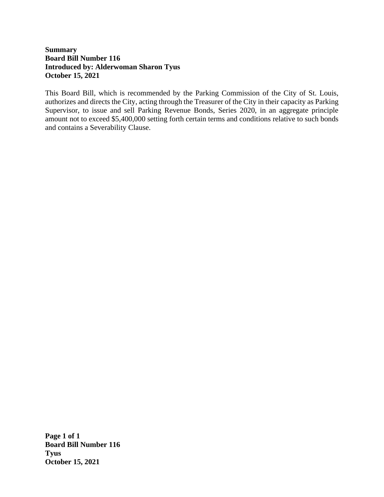# **Summary Board Bill Number 116 Introduced by: Alderwoman Sharon Tyus October 15, 2021**

This Board Bill, which is recommended by the Parking Commission of the City of St. Louis, authorizes and directs the City, acting through the Treasurer of the City in their capacity as Parking Supervisor, to issue and sell Parking Revenue Bonds, Series 2020, in an aggregate principle amount not to exceed \$5,400,000 setting forth certain terms and conditions relative to such bonds and contains a Severability Clause.

**Page 1 of 1 Board Bill Number 116 Tyus October 15, 2021**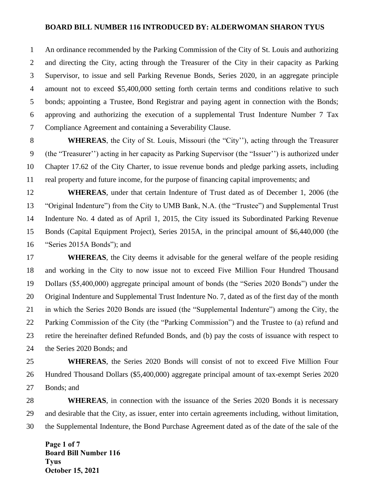### **BOARD BILL NUMBER 116 INTRODUCED BY: ALDERWOMAN SHARON TYUS**

 An ordinance recommended by the Parking Commission of the City of St. Louis and authorizing and directing the City, acting through the Treasurer of the City in their capacity as Parking Supervisor, to issue and sell Parking Revenue Bonds, Series 2020, in an aggregate principle amount not to exceed \$5,400,000 setting forth certain terms and conditions relative to such bonds; appointing a Trustee, Bond Registrar and paying agent in connection with the Bonds; approving and authorizing the execution of a supplemental Trust Indenture Number 7 Tax Compliance Agreement and containing a Severability Clause.

**WHEREAS**, the City of St. Louis, Missouri (the "City"), acting through the Treasurer (the "Treasurer'') acting in her capacity as Parking Supervisor (the "Issuer'') is authorized under Chapter 17.62 of the City Charter, to issue revenue bonds and pledge parking assets, including real property and future income, for the purpose of financing capital improvements; and

 **WHEREAS**, under that certain Indenture of Trust dated as of December 1, 2006 (the "Original Indenture") from the City to UMB Bank, N.A. (the "Trustee") and Supplemental Trust Indenture No. 4 dated as of April 1, 2015, the City issued its Subordinated Parking Revenue Bonds (Capital Equipment Project), Series 2015A, in the principal amount of \$6,440,000 (the "Series 2015A Bonds"); and

**WHEREAS**, the City deems it advisable for the general welfare of the people residing and working in the City to now issue not to exceed Five Million Four Hundred Thousand Dollars (\$5,400,000) aggregate principal amount of bonds (the "Series 2020 Bonds") under the Original Indenture and Supplemental Trust Indenture No. 7, dated as of the first day of the month in which the Series 2020 Bonds are issued (the "Supplemental Indenture") among the City, the Parking Commission of the City (the "Parking Commission") and the Trustee to (a) refund and retire the hereinafter defined Refunded Bonds, and (b) pay the costs of issuance with respect to the Series 2020 Bonds; and

 **WHEREAS**, the Series 2020 Bonds will consist of not to exceed Five Million Four Hundred Thousand Dollars (\$5,400,000) aggregate principal amount of tax-exempt Series 2020 Bonds; and

 **WHEREAS**, in connection with the issuance of the Series 2020 Bonds it is necessary and desirable that the City, as issuer, enter into certain agreements including, without limitation, the Supplemental Indenture, the Bond Purchase Agreement dated as of the date of the sale of the

**Page 1 of 7 Board Bill Number 116 Tyus October 15, 2021**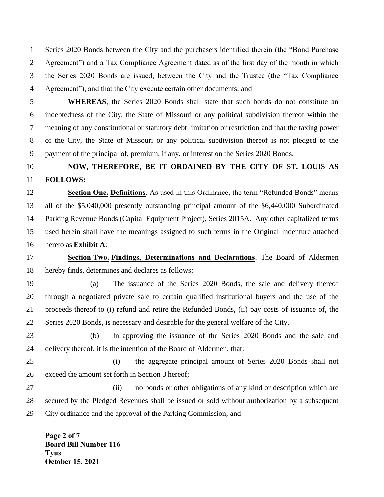Series 2020 Bonds between the City and the purchasers identified therein (the "Bond Purchase Agreement") and a Tax Compliance Agreement dated as of the first day of the month in which the Series 2020 Bonds are issued, between the City and the Trustee (the "Tax Compliance Agreement"), and that the City execute certain other documents; and

 **WHEREAS**, the Series 2020 Bonds shall state that such bonds do not constitute an indebtedness of the City, the State of Missouri or any political subdivision thereof within the meaning of any constitutional or statutory debt limitation or restriction and that the taxing power of the City, the State of Missouri or any political subdivision thereof is not pledged to the payment of the principal of, premium, if any, or interest on the Series 2020 Bonds.

# **NOW, THEREFORE, BE IT ORDAINED BY THE CITY OF ST. LOUIS AS FOLLOWS:**

 **Section One. Definitions**. As used in this Ordinance, the term "Refunded Bonds" means all of the \$5,040,000 presently outstanding principal amount of the \$6,440,000 Subordinated Parking Revenue Bonds (Capital Equipment Project), Series 2015A. Any other capitalized terms used herein shall have the meanings assigned to such terms in the Original Indenture attached hereto as **Exhibit A**:

 **Section Two. Findings, Determinations and Declarations**. The Board of Aldermen hereby finds, determines and declares as follows:

 (a) The issuance of the Series 2020 Bonds, the sale and delivery thereof through a negotiated private sale to certain qualified institutional buyers and the use of the proceeds thereof to (i) refund and retire the Refunded Bonds, (ii) pay costs of issuance of, the Series 2020 Bonds, is necessary and desirable for the general welfare of the City.

 (b) In approving the issuance of the Series 2020 Bonds and the sale and delivery thereof, it is the intention of the Board of Aldermen, that:

 (i) the aggregate principal amount of Series 2020 Bonds shall not exceed the amount set forth in Section 3 hereof;

 (ii) no bonds or other obligations of any kind or description which are secured by the Pledged Revenues shall be issued or sold without authorization by a subsequent City ordinance and the approval of the Parking Commission; and

**Page 2 of 7 Board Bill Number 116 Tyus October 15, 2021**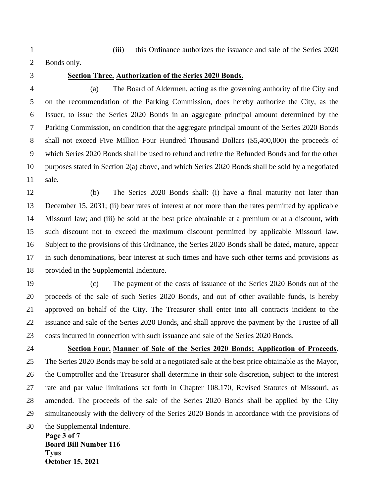(iii) this Ordinance authorizes the issuance and sale of the Series 2020

Bonds only.

### **Section Three. Authorization of the Series 2020 Bonds.**

 (a) The Board of Aldermen, acting as the governing authority of the City and on the recommendation of the Parking Commission, does hereby authorize the City, as the Issuer, to issue the Series 2020 Bonds in an aggregate principal amount determined by the Parking Commission, on condition that the aggregate principal amount of the Series 2020 Bonds shall not exceed Five Million Four Hundred Thousand Dollars (\$5,400,000) the proceeds of which Series 2020 Bonds shall be used to refund and retire the Refunded Bonds and for the other purposes stated in Section 2(a) above, and which Series 2020 Bonds shall be sold by a negotiated sale.

 (b) The Series 2020 Bonds shall: (i) have a final maturity not later than December 15, 2031; (ii) bear rates of interest at not more than the rates permitted by applicable Missouri law; and (iii) be sold at the best price obtainable at a premium or at a discount, with such discount not to exceed the maximum discount permitted by applicable Missouri law. Subject to the provisions of this Ordinance, the Series 2020 Bonds shall be dated, mature, appear in such denominations, bear interest at such times and have such other terms and provisions as provided in the Supplemental Indenture.

 (c) The payment of the costs of issuance of the Series 2020 Bonds out of the proceeds of the sale of such Series 2020 Bonds, and out of other available funds, is hereby approved on behalf of the City. The Treasurer shall enter into all contracts incident to the issuance and sale of the Series 2020 Bonds, and shall approve the payment by the Trustee of all costs incurred in connection with such issuance and sale of the Series 2020 Bonds.

**Page 3 of 7 Section Four. Manner of Sale of the Series 2020 Bonds; Application of Proceeds**. The Series 2020 Bonds may be sold at a negotiated sale at the best price obtainable as the Mayor, the Comptroller and the Treasurer shall determine in their sole discretion, subject to the interest rate and par value limitations set forth in Chapter 108.170, Revised Statutes of Missouri, as amended. The proceeds of the sale of the Series 2020 Bonds shall be applied by the City simultaneously with the delivery of the Series 2020 Bonds in accordance with the provisions of the Supplemental Indenture.

**Board Bill Number 116 Tyus October 15, 2021**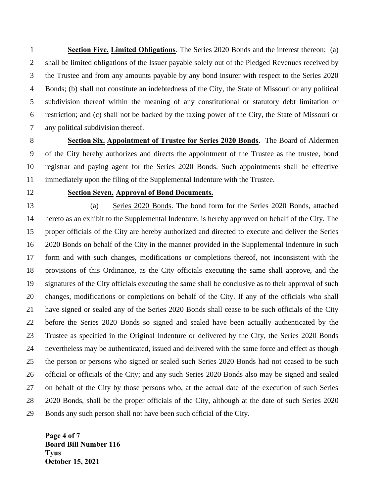**Section Five. Limited Obligations**. The Series 2020 Bonds and the interest thereon: (a) 2 shall be limited obligations of the Issuer payable solely out of the Pledged Revenues received by the Trustee and from any amounts payable by any bond insurer with respect to the Series 2020 Bonds; (b) shall not constitute an indebtedness of the City, the State of Missouri or any political subdivision thereof within the meaning of any constitutional or statutory debt limitation or restriction; and (c) shall not be backed by the taxing power of the City, the State of Missouri or any political subdivision thereof.

 **Section Six. Appointment of Trustee for Series 2020 Bonds**. The Board of Aldermen of the City hereby authorizes and directs the appointment of the Trustee as the trustee, bond registrar and paying agent for the Series 2020 Bonds. Such appointments shall be effective immediately upon the filing of the Supplemental Indenture with the Trustee.

### **Section Seven. Approval of Bond Documents.**

 (a) Series 2020 Bonds. The bond form for the Series 2020 Bonds, attached hereto as an exhibit to the Supplemental Indenture, is hereby approved on behalf of the City. The proper officials of the City are hereby authorized and directed to execute and deliver the Series 2020 Bonds on behalf of the City in the manner provided in the Supplemental Indenture in such form and with such changes, modifications or completions thereof, not inconsistent with the provisions of this Ordinance, as the City officials executing the same shall approve, and the signatures of the City officials executing the same shall be conclusive as to their approval of such changes, modifications or completions on behalf of the City. If any of the officials who shall have signed or sealed any of the Series 2020 Bonds shall cease to be such officials of the City before the Series 2020 Bonds so signed and sealed have been actually authenticated by the Trustee as specified in the Original Indenture or delivered by the City, the Series 2020 Bonds nevertheless may be authenticated, issued and delivered with the same force and effect as though the person or persons who signed or sealed such Series 2020 Bonds had not ceased to be such official or officials of the City; and any such Series 2020 Bonds also may be signed and sealed on behalf of the City by those persons who, at the actual date of the execution of such Series 2020 Bonds, shall be the proper officials of the City, although at the date of such Series 2020 Bonds any such person shall not have been such official of the City.

**Page 4 of 7 Board Bill Number 116 Tyus October 15, 2021**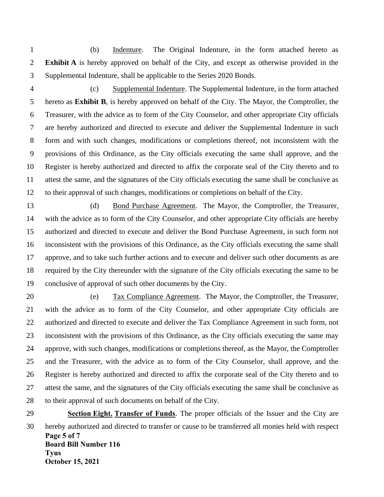(b) Indenture. The Original Indenture, in the form attached hereto as **Exhibit A** is hereby approved on behalf of the City, and except as otherwise provided in the Supplemental Indenture, shall be applicable to the Series 2020 Bonds.

 (c) Supplemental Indenture. The Supplemental Indenture, in the form attached hereto as **Exhibit B**, is hereby approved on behalf of the City. The Mayor, the Comptroller, the Treasurer, with the advice as to form of the City Counselor, and other appropriate City officials are hereby authorized and directed to execute and deliver the Supplemental Indenture in such form and with such changes, modifications or completions thereof, not inconsistent with the provisions of this Ordinance, as the City officials executing the same shall approve, and the Register is hereby authorized and directed to affix the corporate seal of the City thereto and to attest the same, and the signatures of the City officials executing the same shall be conclusive as to their approval of such changes, modifications or completions on behalf of the City.

 (d) Bond Purchase Agreement. The Mayor, the Comptroller, the Treasurer, with the advice as to form of the City Counselor, and other appropriate City officials are hereby authorized and directed to execute and deliver the Bond Purchase Agreement, in such form not inconsistent with the provisions of this Ordinance, as the City officials executing the same shall approve, and to take such further actions and to execute and deliver such other documents as are required by the City thereunder with the signature of the City officials executing the same to be conclusive of approval of such other documents by the City.

 (e) Tax Compliance Agreement. The Mayor, the Comptroller, the Treasurer, with the advice as to form of the City Counselor, and other appropriate City officials are authorized and directed to execute and deliver the Tax Compliance Agreement in such form, not inconsistent with the provisions of this Ordinance, as the City officials executing the same may approve, with such changes, modifications or completions thereof, as the Mayor, the Comptroller and the Treasurer, with the advice as to form of the City Counselor, shall approve, and the Register is hereby authorized and directed to affix the corporate seal of the City thereto and to attest the same, and the signatures of the City officials executing the same shall be conclusive as to their approval of such documents on behalf of the City.

**Page 5 of 7 Board Bill Number 116 Tyus October 15, 2021 Section Eight. Transfer of Funds**. The proper officials of the Issuer and the City are hereby authorized and directed to transfer or cause to be transferred all monies held with respect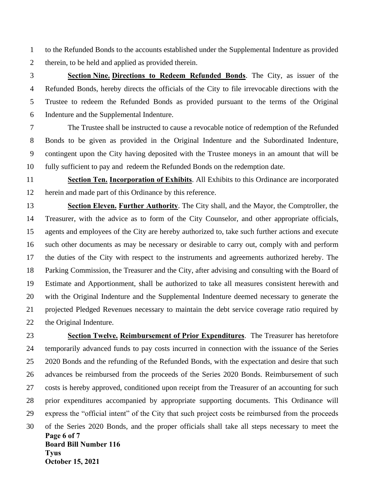to the Refunded Bonds to the accounts established under the Supplemental Indenture as provided therein, to be held and applied as provided therein.

 **Section Nine. Directions to Redeem Refunded Bonds**. The City, as issuer of the Refunded Bonds, hereby directs the officials of the City to file irrevocable directions with the Trustee to redeem the Refunded Bonds as provided pursuant to the terms of the Original Indenture and the Supplemental Indenture.

 The Trustee shall be instructed to cause a revocable notice of redemption of the Refunded Bonds to be given as provided in the Original Indenture and the Subordinated Indenture, contingent upon the City having deposited with the Trustee moneys in an amount that will be fully sufficient to pay and redeem the Refunded Bonds on the redemption date.

 **Section Ten. Incorporation of Exhibits**. All Exhibits to this Ordinance are incorporated herein and made part of this Ordinance by this reference.

 **Section Eleven. Further Authority**. The City shall, and the Mayor, the Comptroller, the Treasurer, with the advice as to form of the City Counselor, and other appropriate officials, agents and employees of the City are hereby authorized to, take such further actions and execute such other documents as may be necessary or desirable to carry out, comply with and perform the duties of the City with respect to the instruments and agreements authorized hereby. The Parking Commission, the Treasurer and the City, after advising and consulting with the Board of Estimate and Apportionment, shall be authorized to take all measures consistent herewith and with the Original Indenture and the Supplemental Indenture deemed necessary to generate the projected Pledged Revenues necessary to maintain the debt service coverage ratio required by the Original Indenture.

**Page 6 of 7 Board Bill Number 116 Tyus October 15, 2021 Section Twelve. Reimbursement of Prior Expenditures**. The Treasurer has heretofore temporarily advanced funds to pay costs incurred in connection with the issuance of the Series 2020 Bonds and the refunding of the Refunded Bonds, with the expectation and desire that such advances be reimbursed from the proceeds of the Series 2020 Bonds. Reimbursement of such costs is hereby approved, conditioned upon receipt from the Treasurer of an accounting for such prior expenditures accompanied by appropriate supporting documents. This Ordinance will express the "official intent" of the City that such project costs be reimbursed from the proceeds of the Series 2020 Bonds, and the proper officials shall take all steps necessary to meet the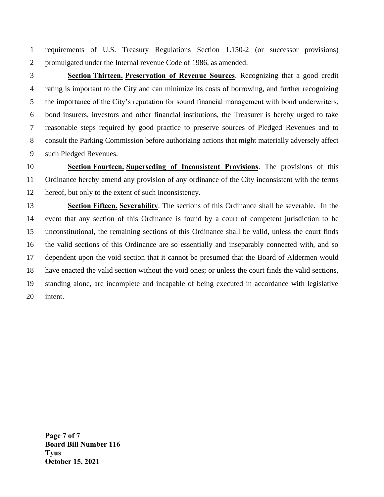requirements of U.S. Treasury Regulations Section 1.150-2 (or successor provisions) promulgated under the Internal revenue Code of 1986, as amended.

 **Section Thirteen. Preservation of Revenue Sources**. Recognizing that a good credit rating is important to the City and can minimize its costs of borrowing, and further recognizing the importance of the City's reputation for sound financial management with bond underwriters, bond insurers, investors and other financial institutions, the Treasurer is hereby urged to take reasonable steps required by good practice to preserve sources of Pledged Revenues and to consult the Parking Commission before authorizing actions that might materially adversely affect such Pledged Revenues.

 **Section Fourteen. Superseding of Inconsistent Provisions**. The provisions of this Ordinance hereby amend any provision of any ordinance of the City inconsistent with the terms hereof, but only to the extent of such inconsistency.

 **Section Fifteen. Severability**. The sections of this Ordinance shall be severable. In the event that any section of this Ordinance is found by a court of competent jurisdiction to be unconstitutional, the remaining sections of this Ordinance shall be valid, unless the court finds the valid sections of this Ordinance are so essentially and inseparably connected with, and so dependent upon the void section that it cannot be presumed that the Board of Aldermen would have enacted the valid section without the void ones; or unless the court finds the valid sections, standing alone, are incomplete and incapable of being executed in accordance with legislative intent.

**Page 7 of 7 Board Bill Number 116 Tyus October 15, 2021**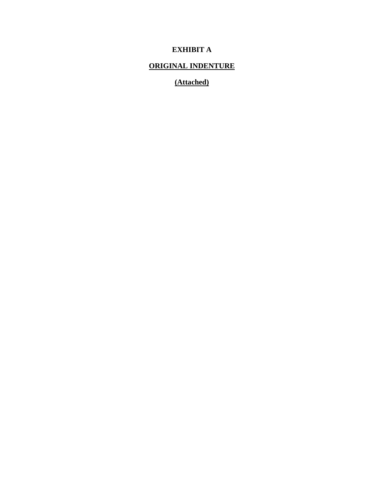# **EXHIBIT A**

# **ORIGINAL INDENTURE**

# **(Attached)**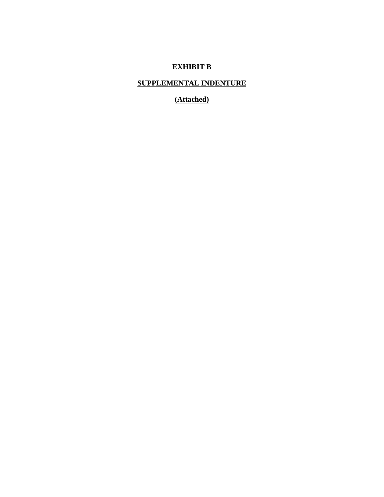# **EXHIBIT B**

# **SUPPLEMENTAL INDENTURE**

**(Attached)**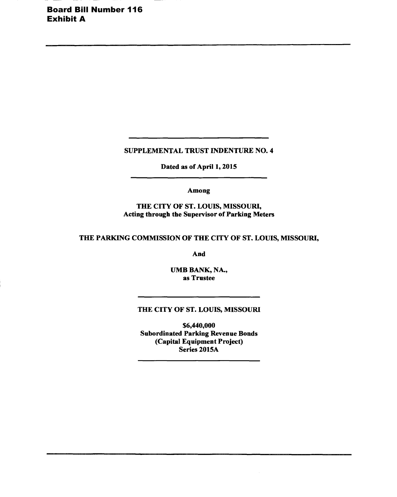Board Bill Number 116 Exhibit A

**SUPPLEMENTAL TRUST INDENTURE NO. 4** 

**Dated as of April 1, 2015** 

**Among** 

**THE CITY OF ST. LOUIS, MISSOURI, Acting through the Supervisor of Parking Meters** 

**THE PARKING COMMISSION OF THE CITY OF ST. LOUIS, MISSOURI,** 

**And** 

**UMB BANK, NA., as Trustee** 

### **THE CITY OF ST. LOUIS, MISSOURI**

**\$6,440,000 Subordinated Parking Revenue Bonds (Capital Equipment Project) Series 2015A**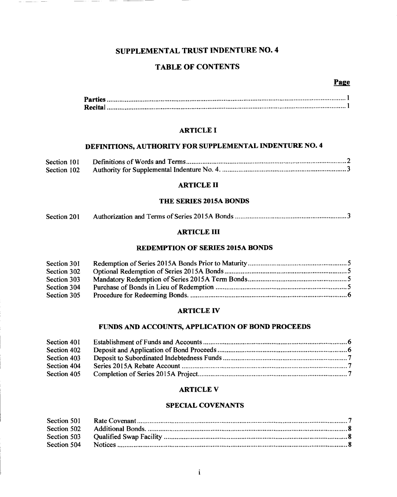# **SUPPLEMENTAL TRUST INDENTURE NO. 4**

### **TABLE OF CONTENTS**

### Page

### **ARTICLE I**

# **DEFINITIONS, AUTHORITY FOR SUPPLEMENTAL INDENTURE NO. 4**

| Section 101 |  |
|-------------|--|
| Section 102 |  |

#### **ARTICLE II**

### **THE SERIES 2015A BONDS**

| Section 201 |  |  |
|-------------|--|--|
|-------------|--|--|

### **ARTICLE III**

### **REDEMPTION OF SERIES 2015A BONDS**

| Section 301 |  |
|-------------|--|
| Section 302 |  |
| Section 303 |  |
| Section 304 |  |
| Section 305 |  |

#### **ARTICLE IV**

### **FUNDS AND ACCOUNTS, APPLICATION OF BOND PROCEEDS**

| Section 401 |  |
|-------------|--|
| Section 402 |  |
| Section 403 |  |
| Section 404 |  |
| Section 405 |  |

### **ARTICLE V**

### **SPECIAL COVENANTS**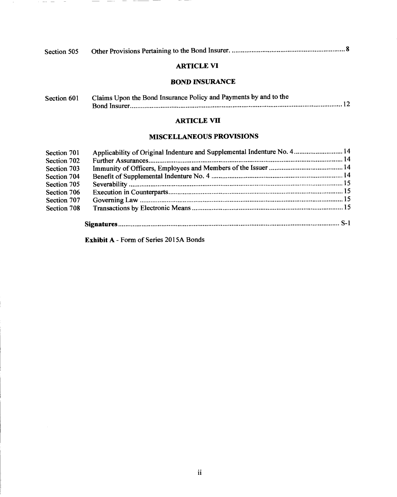| Section 505 |  |  |
|-------------|--|--|
|-------------|--|--|

# **ARTICLE VI**

# *BOND* **INSURANCE**

| Section 601 | Claims Upon the Bond Insurance Policy and Payments by and to the |
|-------------|------------------------------------------------------------------|
|             |                                                                  |

### **ARTICLE VII**

# **MISCELLANEOUS PROVISIONS**

| Section 701 | Applicability of Original Indenture and Supplemental Indenture No. 4 14 |  |
|-------------|-------------------------------------------------------------------------|--|
| Section 702 |                                                                         |  |
| Section 703 |                                                                         |  |
| Section 704 |                                                                         |  |
| Section 705 |                                                                         |  |
| Section 706 |                                                                         |  |
| Section 707 |                                                                         |  |
| Section 708 |                                                                         |  |
|             |                                                                         |  |

**Exhibit A -** Form of Series 2015A Bonds

 $\sim$   $-$ 

 $\sim$ 

 $\overline{\phantom{a}}$ 

 $\overline{\phantom{a}}$ 

 $\frac{1}{2} \left( \frac{1}{2} \right) \left( \frac{1}{2} \right) \left( \frac{1}{2} \right) \left( \frac{1}{2} \right) \left( \frac{1}{2} \right) \left( \frac{1}{2} \right) \left( \frac{1}{2} \right) \left( \frac{1}{2} \right) \left( \frac{1}{2} \right) \left( \frac{1}{2} \right) \left( \frac{1}{2} \right) \left( \frac{1}{2} \right) \left( \frac{1}{2} \right) \left( \frac{1}{2} \right) \left( \frac{1}{2} \right) \left( \frac{1}{2} \right) \left( \frac$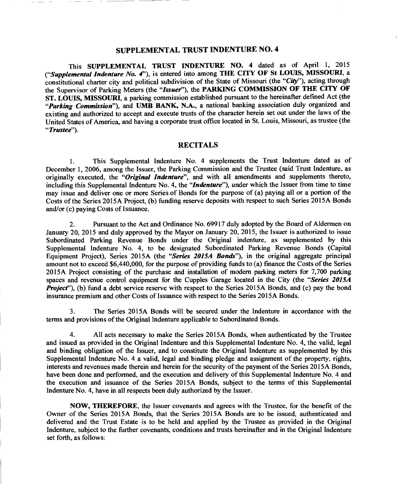### **SUPPLEMENTAL TRUST INDENTURE NO. 4**

This **SUPPLEMENTAL TRUST INDENTURE NO. 4** dated as of April 1, 2015 *("Supplemental Indenture No. 4"),* is entered into among **THE CITY OF St LOUIS, MISSOURI,** a constitutional charter city and political subdivision of the State of Missouri (the *"City"),* acting through the Supervisor of Parking Meters (the *"Issuer"),* the **PARKING COMMISSION OF THE CITY OF ST. LOUIS, MISSOURI,** a parking commission established pursuant to the hereinafter defined Act (the *"Parking Commission"),* and **UMB BANK, N.A.,** a national banking association duly organized and existing and authorized to accept and execute trusts of the character herein set out under the laws of the United States of America, and having a corporate trust office located in St. Louis, Missouri, as trustee (the *"Trustee").* 

#### **RECITALS**

1. This Supplemental Indenture No. 4 supplements the Trust Indenture dated as of December 1, 2006, among the Issuer, the Parking Commission and the Trustee (said Trust Indenture, as originally executed, the *"Original Indenture",* and with all amendments and supplements thereto, including this Supplemental Indenture No. 4, the *"Indenture"),* under which the Issuer from time to time may issue and deliver one or more Series of Bonds for the purpose of (a) paying all or a portion of the Costs of the Series 2015A Project, (b) funding reserve deposits with respect to such Series 2015A Bonds and/or (c) paying Costs of Issuance.

2. Pursuant to the Act and Ordinance No. 69917 duly adopted by the Board of Aldermen on January 20, 2015 and duly approved by the Mayor on January 20, 2015, the Issuer is authorized to issue Subordinated Parking Revenue Bonds under the Original indenture, as supplemented by this Supplemental Indenture No. 4, to be designated Subordinated Parking Revenue Bonds (Capital Equipment Project), Series 2015A (the *"Series 2015A Bonds"),* in the original aggregate principal amount not to exceed \$6,440,000, for the purpose of providing funds to (a) finance the Costs of the Series 2015A Project consisting of the purchase and installation of modern parking meters for 7,700 parking spaces and revenue control equipment for the Cupples Garage located in the City (the *"Series 2015A Project*"), (b) fund a debt service reserve with respect to the Series 2015A Bonds, and (c) pay the bond *insurance* premium and other Costs of Issuance with respect to the Series 2015A Bonds.

3. The Series 2015A Bonds will be secured under the Indenture in accordance with the terms and provisions of the Original Indenture applicable to Subordinated Bonds.

4. All acts necessary to make the Series 2015A Bonds, when authenticated by the Trustee and issued as provided in the Original Indenture and this Supplemental Indenture No. 4, the valid, legal and binding obligation of the Issuer, and to constitute the Original Indenture as supplemented by this Supplemental Indenture No. 4 a valid, legal and binding pledge and assignment of the property, rights, interests and revenues made therein and herein for the security of the payment of the Series 2015A Bonds, have been done and performed, and the execution and delivery of this Supplemental Indenture No. 4 and the execution and issuance of the Series 2015A Bonds, subject to the terms of this Supplemental Indenture No. 4, have in all respects been duly authorized by the Issuer.

**NOW, THEREFORE,** the Issuer covenants and agrees with the Trustee, for the benefit of the Owner of the Series 2015A Bonds, that the Series 2015A Bonds are to be issued, authenticated and delivered and the Trust Estate is to be held and applied by the Trustee as provided in the Original Indenture, subject to the further covenants, conditions and trusts hereinafter and in the Original Indenture set forth, as follows: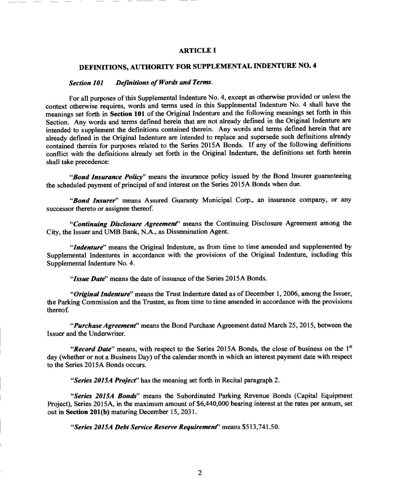#### **ARTICLE I**

# **DEFINITIONS, AUTHORITY FOR SUPPLEMENTAL INDENTURE NO. 4**

# *Section 101 Definitions of Words and Terms.*

For all purposes of this Supplemental Indenture No. 4, except as otherwise provided or unless the context otherwise requires, words and terms used in this Supplemental Indenture No. 4 shall have the meanings set forth in **Section 101** of the Original Indenture and the following meanings set forth in this Section. Any words and terms defined herein that are not already defined in the Original Indenture are intended to supplement the definitions contained therein. Any words and terms defined herein that are already defined in the Original Indenture are intended to replace and supersede such definitions already contained therein for purposes related to the Series 2015A Bonds. If any of the following definitions conflict with the definitions already set forth in the Original Indenture, the definitions set forth herein shall take precedence:

*"Bond Insurance Policy"* means the insurance policy issued by the Bond Insurer guaranteeing the scheduled payment of principal of and interest on the Series 2015A Bonds when due.

*"Bond Insurer"* means Assured Guaranty Municipal Corp., an insurance company, or any successor thereto or assignee thereof.

*"Continuing Disclosure Agreement"* means the Continuing Disclosure Agreement among the City, the Issuer and UMB Bank, N.A., as Dissemination Agent.

*"Indenture"* means the Original Indenture, as from time to time amended and supplemented by Supplemental Indentures in accordance with the provisions of the Original Indenture, including this Supplemental Indenture No. 4.

*"Issue Date"* means the date of issuance of the Series 2015A Bonds.

*"Original Indenture"* means the Trust Indenture dated as of December 1, 2006, among the Issuer, the Parking Commission and the Trustee, as from time to time amended in accordance with the provisions thereof.

*"Purchase Agreement"* means the Bond Purchase Agreement dated March 25, 2015, between the Issuer and the Underwriter.

*"Record Date"* means, with respect to the Series 2015A Bonds, the close of *business* on the 1st day (whether or not a Business Day) of the calendar month in which an interest payment date with respect to the Series 2015A Bonds occurs.

*"Series 2015A Project"* has the meaning set forth in Recital paragraph 2.

*"Series 2015A Bonds"* means the Subordinated Parking Revenue Bonds (Capital Equipment Project), Series 2015A, in the maximum amount of \$6,440,000 bearing interest at the rates per annum, set out in **Section 201(b)** maturing December 15, 2031.

*"Series 2015A Debt Service Reserve Requirement"* means \$513,741.50.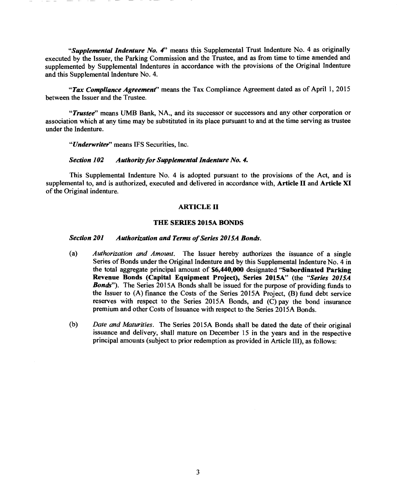*"Supplemental Indenture No. 4"* means this Supplemental Trust Indenture No. 4 as originally executed by the Issuer, the Parking Commission and the Trustee, and as from time to time amended and supplemented by Supplemental Indentures in accordance with the provisions of the Original Indenture and this Supplemental Indenture No. 4.

*"Tax Compliance Agreement"* means the Tax Compliance Agreement dated as of April 1, 2015 between the Issuer and the Trustee.

*"Trustee"* means UMB Bank, NA., and its successor or successors and any other corporation or association which at any time may be substituted in its place pursuant to and at the time serving as trustee under the Indenture.

*"Underwriter"* means IFS Securities, Inc.

#### *Section 102 Authority for Supplemental Indenture No. 4.*

This Supplemental Indenture No. 4 is adopted pursuant to the provisions of the Act, and is supplemental to, and is authorized, executed and delivered in accordance with, **Article II and Article XI**  of the Original indenture.

#### **ARTICLE II**

#### **THE SERIES 2015A BONDS**

#### *Section 201 Authorization and Terms of Series 2015A Bonds.*

- *(a) Authorization and Amount.* The Issuer hereby authorizes the issuance of a single Series of Bonds under the Original Indenture and by this Supplemental Indenture No. 4 in the total aggregate principal amount of **\$6,440,000** designated **"Subordinated Parking Revenue Bonds (Capital Equipment Project), Series 2015A"** (the *"Series 2015A Bonds*"). The Series 2015A Bonds shall be issued for the purpose of providing funds to the Issuer to (A) finance the Costs of the Series 2015A Project, (B) fund debt service reserves with respect to the Series 2015A Bonds, and (C) pay the bond insurance premium and other Costs of Issuance with respect to the Series 2015A Bonds.
- *(b) Date and Maturities.* The Series 2015A Bonds shall be dated the date of their original issuance and delivery, shall mature on December 15 in the years and in the respective principal amounts (subject to prior redemption as provided in Article III), as follows: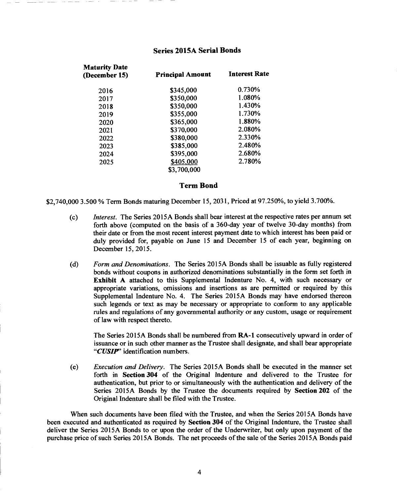### **Series 2015A Serial Bonds**

| <b>Maturity Date</b><br>(December 15) | <b>Principal Amount</b> | <b>Interest Rate</b> |
|---------------------------------------|-------------------------|----------------------|
| 2016                                  | \$345,000               | 0.730%               |
| 2017                                  | \$350,000               | 1.080%               |
| 2018                                  | \$350,000               | 1.430%               |
| 2019                                  | \$355,000               | 1.730%               |
| 2020                                  | \$365,000               | 1.880%               |
| 2021                                  | \$370,000               | 2.080%               |
| 2022                                  | \$380,000               | 2.330%               |
| 2023                                  | \$385,000               | 2.480%               |
| 2024                                  | \$395,000               | 2.680%               |
| 2025                                  | \$405,000               | 2.780%               |
|                                       | \$3,700,000             |                      |

#### **Term Bond**

\$2,740,000 3.500 % Term Bonds maturing December 15, 2031, Priced at 97.250%, to yield 3.700%.

- *(c) Interest.* The Series 2015A Bonds shall bear interest at the respective rates per annum set forth above (computed on the basis of a 360-day year of twelve 30-day months) from their date or from the most recent interest payment date to which interest has been paid or duly provided for, payable on June 15 and December 15 of each year, beginning on December 15, 2015.
- *(d) Form and Denominations.* The Series 2015A Bonds shall be issuable as fully registered bonds without coupons in authorized denominations substantially in the form set forth in **Exhibit A** attached to this Supplemental Indenture No. 4, with such necessary or appropriate variations, omissions and insertions as are permitted or required by this Supplemental Indenture No. 4. The Series 2015A Bonds may have endorsed thereon such legends or text as may be necessary or appropriate to conform to any applicable rules and regulations of any governmental authority or any custom, usage or requirement of law with respect thereto.

The Series 2015A Bonds shall be numbered from **RA-1** consecutively upward in order of issuance or in such other manner as the Trustee shall designate, and shall bear appropriate *"CUSIP"* identification numbers.

*(e) Execution and Delivery.* The Series 2015A Bonds shall be executed in the manner set forth in **Section 304** of the Original Indenture and delivered to the Trustee for authentication, but prior to or simultaneously with the authentication and delivery of the Series 2015A Bonds by the Trustee the documents required by **Section 202** of the Original Indenture shall be filed with the Trustee.

When such documents have been filed with the Trustee, and when the Series 2015A Bonds have been executed and authenticated as required by **Section 304** of the Original Indenture, the Trustee shall deliver the Series 2015A Bonds to or upon the order of the Underwriter, but only upon payment of the purchase price of such Series 2015A Bonds. The net proceeds of the sale of the Series 2015A Bonds paid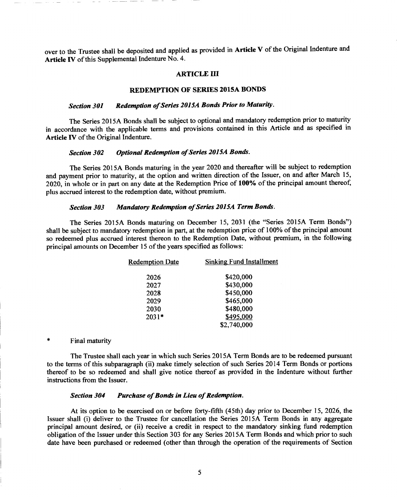over to the Trustee shall be deposited and applied as provided in **Article V** of the Original Indenture and **Article IV** of this Supplemental Indenture No. 4.

#### **ARTICLE III**

#### **REDEMPTION OF SERIES 2015A BONDS**

### *Section 301 Redemption of Series 2015A Bonds Prior to Maturity.*

The Series 2015A Bonds shall be subject to optional and mandatory redemption prior to maturity in accordance with the applicable terms and provisions contained in this Article and as specified in **Article IV** of the Original Indenture.

#### *Section 302 Optional Redemption of Series 2015A Bonds.*

The Series 2015A Bonds maturing in the year 2020 and thereafter will be subject to redemption and payment prior to maturity, at the option and written direction of the Issuer, on and after March 15, 2020, in whole or in part on any date at the Redemption Price of **100%** of the principal amount thereof, plus accrued interest to the redemption date, without premium.

#### *Section 303 Mandatory Redemption of Series 2015A Term Bonds.*

The Series 2015A Bonds maturing on December 15, 2031 (the "Series 2015A Term Bonds") shall be subject to mandatory redemption in part, at the redemption price of 100% of the principal amount so redeemed plus accrued interest thereon to the Redemption Date, without premium, in the following principal amounts on December 15 of the years specified as follows:

| \$420,000<br>2026<br>\$430,000<br>2027<br>\$450,000<br>2028<br>\$465,000<br>2029<br>\$480,000<br>2030<br>\$495,000<br>$2031*$<br>\$2,740,000 | <b>Redemption Date</b> | <b>Sinking Fund Installment</b> |
|----------------------------------------------------------------------------------------------------------------------------------------------|------------------------|---------------------------------|
|                                                                                                                                              |                        |                                 |
|                                                                                                                                              |                        |                                 |
|                                                                                                                                              |                        |                                 |
|                                                                                                                                              |                        |                                 |
|                                                                                                                                              |                        |                                 |
|                                                                                                                                              |                        |                                 |
|                                                                                                                                              |                        |                                 |

#### Final maturity

The Trustee shall each year in which such Series 2015A Term Bonds are to be redeemed pursuant to the terms of this subparagraph (ii) make timely selection of such Series 2014 Term Bonds or portions thereof to be so redeemed and shall give notice thereof as provided in the Indenture without further instructions from the Issuer.

#### *Section 304 Purchase of Bonds in Lieu of Redemption.*

At its option to be exercised on or before forty-fifth (45th) day prior to December 15, 2026, the Issuer shall (i) deliver to the Trustee for cancellation the Series 2015A Term Bonds in any aggregate principal amount desired, or (ii) receive a credit in respect to the mandatory sinking fund redemption obligation of the Issuer under this Section 303 for any Series 2015A Term Bonds and which prior to such date have been purchased or redeemed (other than through the operation of the requirements of Section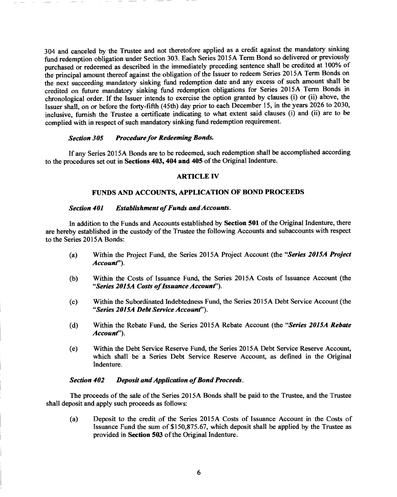304 and canceled by the Trustee and not theretofore applied as a credit against the mandatory sinking fund redemption obligation under Section 303. Each Series 2015A Term Bond so delivered or previously purchased or redeemed as described in the immediately preceding sentence shall be credited at 100% of the principal amount thereof against the obligation of the Issuer to redeem Series 2015A Term Bonds on the next succeeding mandatory sinking fund redemption date and any excess of such amount shall be credited on future mandatory sinking fund redemption obligations for Series 2015A Term Bonds in chronological order. If the Issuer intends to exercise the option granted by clauses (i) or (ii) above, the Issuer shall, on or before the forty-fifth (45th) day prior to each December 15, in the years 2026 to 2030, inclusive, furnish the Trustee a certificate indicating to what extent said clauses (i) and (ii) are to be complied with in respect of such mandatory sinking fund redemption requirement.

#### *Section 305 Procedure for Redeeming Bonds.*

If any Series 2015A Bonds are to be redeemed, such redemption shall be accomplished according to the procedures set out in **Sections 403, 404 and 405** of the Original Indenture.

#### **ARTICLE IV**

#### **FUNDS AND ACCOUNTS, APPLICATION OF BOND PROCEEDS**

#### *Section 401 Establishment of Funds and Accounts.*

In addition to the Funds and Accounts established by **Section 501** of the Original Indenture, there are hereby established in the custody of the Trustee the following Accounts and subaccounts with respect to the Series 2015A Bonds:

- (a) Within the Project Fund, the Series 2015A Project Account (the *"Series 2015A Project Account").*
- (b) Within the Costs of Issuance Fund, the Series 2015A Costs of Issuance Account (the *"Series 2015A Costs of Issuance Account").*
- (c) Within the Subordinated Indebtedness Fund, the Series 2015A Debt Service Account (the *"Series 2015A Debt Service Account").*
- (d) Within the Rebate Fund, the Series 2015A Rebate Account (the *"Series 2015A Rebate Account").*
- (e) Within the Debt Service Reserve Fund, the Series 2015A Debt Service Reserve Account, which shall be a Series Debt Service Reserve Account, as defined in the Original Indenture.

#### *Section 402 Deposit and Application of Bond Proceeds.*

The proceeds of the sale of the Series 2015A Bonds shall be paid to the Trustee, and the Trustee shall deposit and apply such proceeds as follows:

(a) Deposit to the credit of the Series 2015A Costs of Issuance Account in the Costs of Issuance Fund the sum of \$150,875.67, which deposit shall be applied by the Trustee as provided in **Section 503** of the Original Indenture.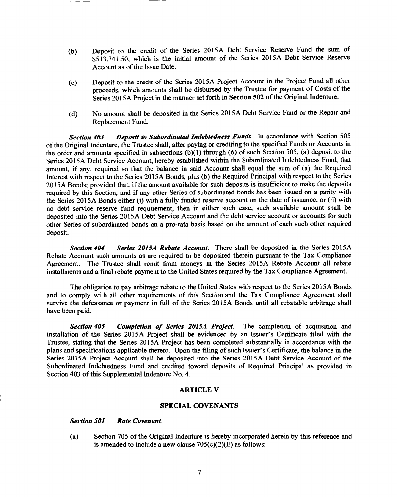- (b) Deposit to the credit of the Series 2015A Debt Service Reserve Fund the sum of \$513,741.50, which is the initial amount of the Series 2015A Debt Service Reserve Account as of the Issue Date.
- (c) Deposit to the credit of the Series 2015A Project Account in the Project Fund all other proceeds, which amounts shall be disbursed by the Trustee for payment of Costs of the Series 2015A Project in the manner set forth in **Section 502** of the Original Indenture.
- (d) No amount shall be deposited in the Series 2015A Debt Service Fund or the Repair and Replacement Fund.

*Section 403 Deposit to Subordinated Indebtedness Funds.* In accordance with Section 505 of the Original Indenture, the Trustee shall, after paying or crediting to the specified Funds or Accounts in the order and amounts specified in subsections  $(b)(1)$  through (6) of such Section 505, (a) deposit to the Series 2015A Debt Service Account, hereby established within the Subordinated Indebtedness Fund, that amount, if any, required so that the balance in said Account shall equal the sum of (a) the Required Interest with respect to the Series 2015A Bonds, plus (b) the Required Principal with respect to the Series 2015A Bonds; provided that, if the amount available for such deposits is insufficient to make the deposits required by this Section, and if any other Series of subordinated bonds has been issued on a parity with the Series 2015A Bonds either (i) with a fully funded reserve account on the date of issuance, or (ii) with no debt service reserve fund requirement, then in either such case, such available amount shall be deposited into the Series 2015A Debt Service Account and the debt service account or accounts for such other Series of subordinated bonds on a pro-rata basis based on the amount of each such other required deposit.

*Section 404 Series 2015A Rebate Account.* There shall be deposited in the Series 2015A Rebate Account such amounts as are required to be deposited therein pursuant to the Tax Compliance Agreement. The Trustee shall remit from moneys in the Series 2015A Rebate Account all rebate installments and a final rebate payment to the United States required by the Tax Compliance Agreement.

The obligation to pay arbitrage rebate to the United States with respect to the Series 2015A Bonds and to comply with all other requirements of this Section and the Tax Compliance Agreement shall survive the defeasance or payment in full of the Series 2015A Bonds until all rebatable arbitrage shall have been paid.

*Section 405 Completion of Series 2015A Project.* The completion of acquisition and installation of the Series 2015A Project shall be evidenced by an Issuer's Certificate filed with the Trustee, stating that the Series 2015A Project has been completed substantially in accordance with the plans and specifications applicable thereto. Upon the filing of such Issuer's Certificate, the balance in the Series 2015A Project Account shall be deposited into the Series 2015A Debt Service Account of the Subordinated Indebtedness Fund and credited toward deposits of Required Principal as provided in Section 403 of this Supplemental Indenture No. 4.

#### **ARTICLE V**

#### **SPECIAL COVENANTS**

#### *Section 501 Rate Covenant.*

(a) Section 705 of the Original Indenture is hereby incorporated herein by this reference and is amended to include a new clause  $705(c)(2)(E)$  as follows: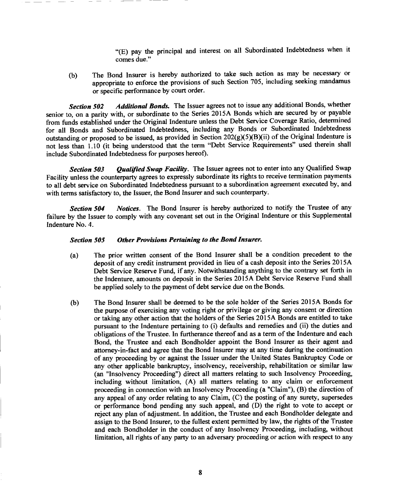"(E) pay the principal and interest on all Subordinated Indebtedness when it comes due."

(b) The Bond Insurer is hereby authorized to take such action as may be necessary or appropriate to enforce the provisions of such Section 705, including seeking mandamus or specific performance by court order.

*Section 502 Additional Bonds.* The Issuer agrees not to issue any additional Bonds, whether senior to, on a parity with, or subordinate to the Series 2015A Bonds which are secured by or payable from funds established under the Original Indenture unless the Debt Service Coverage Ratio, determined for all Bonds and Subordinated Indebtedness, including any Bonds or Subordinated Indebtedness outstanding or proposed to be issued, as provided in Section  $202(g)(5)(B)(ii)$  of the Original Indenture is not less than 1.10 (it being understood that the term "Debt Service Requirements" used therein shall include Subordinated Indebtedness for purposes hereof).

*Section 503 Qualified Swap Facility.* The Issuer agrees not to enter into any Qualified Swap Facility unless the counterparty agrees to expressly subordinate its rights to receive termination payments to all debt service on Subordinated Indebtedness pursuant to a subordination agreement executed by, and with terms satisfactory to, the Issuer, the Bond Insurer and such counterparty.

*Section 504 Notices.* The Bond Insurer is hereby authorized to notify the Trustee of any failure by the Issuer to comply with any covenant set out in the Original Indenture or this Supplemental Indenture No. 4.

#### *Section 505 Other Provisions Pertaining to the Bond Insurer.*

- (a) The prior written consent of the Bond Insurer shall be a condition precedent to the deposit of any credit instrument provided in lieu of a cash deposit into the Series 2015A Debt Service Reserve Fund, if any. Notwithstanding anything to the contrary set forth in the Indenture, amounts on deposit in the Series 2015A Debt Service Reserve Fund shall be applied solely to the payment of debt service due on the Bonds.
- (b) The Bond Insurer shall be deemed to be the sole holder of the Series 2015A Bonds for the purpose of exercising any voting right or privilege or giving any consent or direction or taking any other action that the holders of the Series 2015A Bonds are entitled to take pursuant to the Indenture pertaining to (i) defaults and remedies and (ii) the duties and obligations of the Trustee. In furtherance thereof and as a term of the Indenture and each Bond, the Trustee and each Bondholder appoint the Bond Insurer as their agent and attorney-in-fact and agree that the Bond Insurer may at any time during the continuation of any proceeding by or against the Issuer under the United States Bankruptcy Code or any other applicable bankruptcy, insolvency, receivership, rehabilitation or similar law (an "Insolvency Proceeding") direct all matters relating to such Insolvency Proceeding, including without limitation, (A) all matters relating to any claim or enforcement proceeding in connection with an Insolvency Proceeding (a "Claim"), (B) the direction of any appeal of any order relating to any Claim, (C) the posting of any surety, supersedes or performance bond pending any such appeal, and (D) the right to vote to accept or reject any plan of adjustment. In addition, the Trustee and each Bondholder delegate and assign to the Bond Insurer, to the fullest extent permitted by law, the rights of the Trustee and each Bondholder in the conduct of any Insolvency Proceeding, including, without limitation, all rights of any party to an adversary proceeding or action with respect to any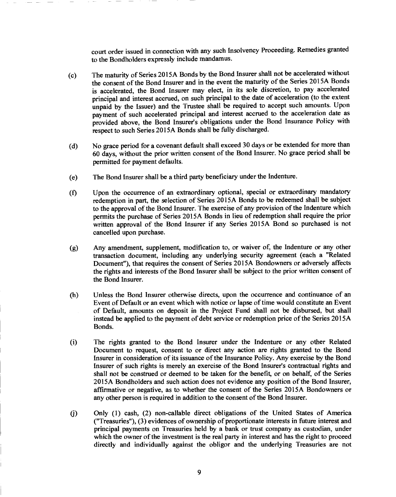court order issued in connection with any such Insolvency Proceeding. Remedies granted to the Bondholders expressly include mandamus.

- (c) The maturity of Series 2015A Bonds by the Bond Insurer shall not be accelerated without the consent of the Bond Insurer and in the event the maturity of the Series 2015A Bonds is accelerated, the Bond Insurer may elect, in its sole discretion, to pay accelerated principal and interest accrued, on such principal to the date of acceleration (to the extent unpaid by the Issuer) and the Trustee shall be required to accept such amounts. Upon payment of such accelerated principal and interest accrued to the acceleration date as provided above, the Bond Insurer's obligations under the Bond Insurance Policy with respect to such Series 2015A Bonds shall be fully discharged.
- (d) No grace period for a covenant default shall exceed 30 days or be extended for more than 60 days, without the prior written consent of the Bond Insurer. No grace period shall be permitted for payment defaults.
- (e) The Bond Insurer shall be a third party beneficiary under the Indenture.
- (f) Upon the occurrence of an extraordinary optional, special or extraordinary mandatory redemption in part, the selection of Series 2015A Bonds to be redeemed shall be subject to the approval of the Bond Insurer. The exercise of any provision of the Indenture which permits the purchase of Series 2015A Bonds in lieu of redemption shall require the prior written approval of the Bond Insurer if any Series 2015A Bond so purchased is not cancelled upon purchase.
- (g) Any amendment, supplement, modification to, or waiver of, the Indenture or any other transaction document, including any underlying security agreement (each a "Related Document"), that requires the consent of Series 2015A Bondowners or adversely affects the rights and interests of the Bond Insurer shall be subject to the prior written consent of the Bond Insurer.
- (h) Unless the Bond Insurer otherwise directs, upon the occurrence and continuance of an Event of Default or an event which with notice or lapse of time would constitute an Event of Default, amounts on deposit in the Project Fund shall not be disbursed, but shall instead be applied to the payment of debt service or redemption price of the Series 2015A Bonds.
- (i) The rights granted to the Bond Insurer under the Indenture or any other Related Document to request, consent to or direct any action are rights granted to the Bond Insurer in consideration of its issuance of the Insurance Policy. Any exercise by the Bond Insurer of such rights is merely an exercise of the Bond Insurer's contractual rights and shall not be construed or deemed to be taken for the benefit, or on behalf, of the Series 2015A Bondholders and such action does not evidence any position of the Bond Insurer, affirmative or negative, as to whether the consent of the Series 2015A Bondowners or any other person is required in addition to the consent of the Bond Insurer.
- Only (1) cash, (2) non-callable direct obligations of the United States of America  $(i)$ ("Treasuries"), (3) evidences of ownership of proportionate interests in future interest and principal payments on Treasuries held by a bank or trust company as custodian, under which the owner of the investment is the real party in interest and has the right to proceed directly and individually against the obligor and the underlying Treasuries are not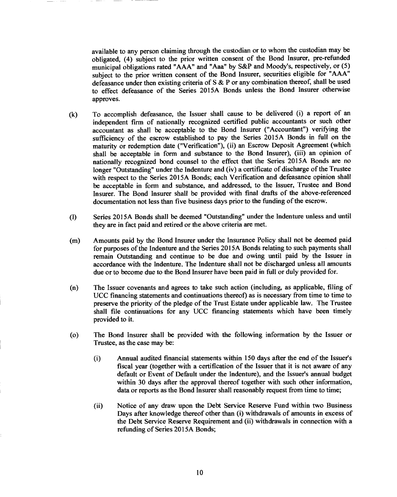available to any person claiming through the custodian or to whom the custodian may be obligated, (4) subject to the prior written consent of the Bond Insurer, pre-refunded municipal obligations rated "AAA" and "Aaa" by S&P and Moody's, respectively, or (5) subject to the prior written consent of the Bond Insurer, securities eligible for "AAA" defeasance under then existing criteria of S & P or any combination thereof, shall be used to effect defeasance of the Series 2015A Bonds unless the Bond Insurer otherwise approves.

- (k) To accomplish defeasance, the Issuer shall cause to be delivered (i) a report of an independent firm of nationally recognized certified public accountants or such other accountant as shall be acceptable to the Bond Insurer ("Accountant") verifying the sufficiency of the escrow established to pay the Series 2015A Bonds in full on the maturity or redemption date ("Verification"), (ii) an Escrow Deposit Agreement (which shall be acceptable in form and substance to the Bond Insurer), (iii) an opinion of nationally recognized bond counsel to the effect that the Series 2015A Bonds are no longer "Outstanding" under the Indenture and (iv) a certificate of discharge of the Trustee with respect to the Series 2015A Bonds; each Verification and defeasance opinion shall be acceptable in form and substance, and addressed, to the Issuer, Trustee and Bond Insurer. The Bond Insurer shall be provided with fmal drafts of the above-referenced documentation not less than five business days prior to the funding of the escrow.
- Series 2015A Bonds shall be deemed "Outstanding" under the Indenture unless and until  $(1)$ they are in fact paid and retired or the above criteria are met.
- Amounts paid by the Bond Insurer under the Insurance Policy shall not be deemed paid  $(m)$ for purposes of the Indenture and the Series 2015A Bonds relating to such payments shall remain Outstanding and continue to be due and owing until paid by the Issuer in accordance with the Indenture. The Indenture shall not be discharged unless all amounts due or to become due to the Bond Insurer have been paid in full or duly provided for.
- (n) The Issuer covenants and agrees to take such action (including, as applicable, filing of UCC financing statements and continuations thereof) as is necessary from time to time to preserve the priority of the pledge of the Trust Estate under applicable law. The Trustee shall file continuations for any UCC financing statements which have been timely provided to it.
- (o) The Bond Insurer shall be provided with the following information by the Issuer or Trustee, as the case may be:
	- $(i)$ Annual audited financial statements within 150 days after the end of the Issuer's fiscal year (together with a certification of the Issuer that it is not aware of any default or Event of Default under the Indenture), and the Issuer's annual budget within 30 days after the approval thereof together with such other information, data or reports as the Bond Insurer shall reasonably request from time to time;
	- (ii) Notice of any draw upon the Debt Service Reserve Fund within two Business Days after knowledge thereof other than (i) withdrawals of amounts in excess of the Debt Service Reserve Requirement and (ii) withdrawals in connection with a refunding of Series 2015A Bonds;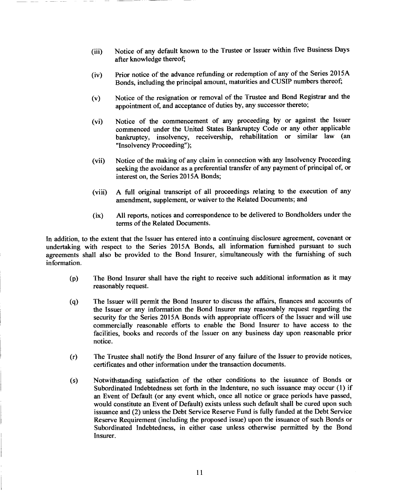- (iii) Notice of any default known to the Trustee or Issuer within five Business Days after knowledge thereof;
- (iv) Prior notice of the advance refunding or redemption of any of the Series 2015A Bonds, including the principal amount, maturities and CUSIP numbers thereof;
- (v) Notice of the resignation or removal of the Trustee and Bond Registrar and the appointment of, and acceptance of duties by, any successor thereto;
- (vi) Notice of the commencement of any proceeding by or against the Issuer commenced under the United States Bankruptcy Code or any other applicable bankruptcy, insolvency, receivership, rehabilitation or similar law (an "Insolvency Proceeding");
- (vii) Notice of the making of any claim in connection with any Insolvency Proceeding seeking the avoidance as a preferential transfer of any payment of principal of, or interest on, the Series 2015A Bonds;
- (viii) A full original transcript of all proceedings relating to the execution of any amendment, supplement, or waiver to the Related Documents; and
- (ix) All reports, notices and correspondence to be delivered to Bondholders under the terms of the Related Documents.

In addition, to the extent that the Issuer has entered into a continuing disclosure agreement, covenant or undertaking with respect to the Series 2015A Bonds, all information furnished pursuant to such agreements shall also be provided to the Bond Insurer, simultaneously with the furnishing of such information.

- (p) The Bond Insurer shall have the right to receive such additional information as it may reasonably request.
- (q) The Issuer will permit the Bond Insurer to discuss the affairs, finances and accounts of the Issuer or any information the Bond Insurer may reasonably request regarding the security for the Series 2015A Bonds with appropriate officers of the Issuer and will use commercially reasonable efforts to enable the Bond Insurer to have access to the facilities, books and records of the Issuer on any business day upon reasonable prior notice.
- (r) The Trustee shall notify the Bond Insurer of any failure of the Issuer to provide notices, certificates and other information under the transaction documents.
- (s) Notwithstanding satisfaction of the other conditions to the issuance of Bonds or Subordinated Indebtedness set forth in the Indenture, no such issuance may occur (1) if an Event of Default (or any event which, once all notice or grace periods have passed, would constitute an Event of Default) exists unless such default shall be cured upon such issuance and (2) unless the Debt Service Reserve Fund is fully funded at the Debt Service Reserve Requirement (including the proposed issue) upon the issuance of such Bonds or Subordinated Indebtedness, in either case unless otherwise permitted by the Bond Insurer.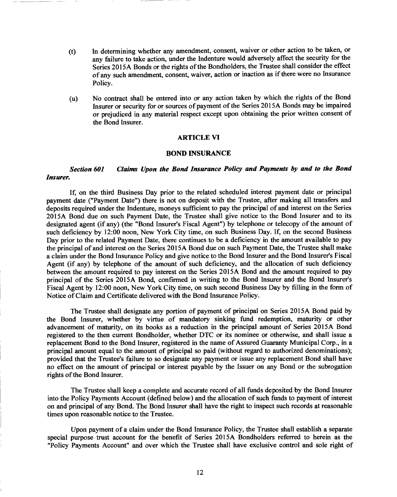- (t) In determining whether any amendment, consent, waiver or other action to be taken, or any failure to take action, under the Indenture would adversely affect the security for the Series 2015A Bonds or the rights of the Bondholders, the Trustee shall consider the effect of any such amendment, consent, waiver, action or inaction as if there were no Insurance Policy.
- (u) No contract shall be entered into or any action taken by which the rights of the Bond Insurer or security for or sources of payment of the Series 2015A Bonds may be impaired or prejudiced in any material respect except upon obtaining the prior written consent of the Bond Insurer.

#### **ARTICLE VI**

#### **BOND INSURANCE**

### *Section 601 Claims Upon the Bond Insurance Policy and Payments by and to the Bond Insurer.*

If, on the third Business Day prior to the related scheduled interest payment date or principal payment date ("Payment Date") there is not on deposit with the Trustee, after making all transfers and deposits required under the Indenture, moneys sufficient to pay the principal of and interest on the Series 2015A Bond due on such Payment Date, the Trustee shall give notice to the Bond Insurer and to its designated agent (if any) (the "Bond Insurer's Fiscal Agent") by telephone or telecopy of the amount of such deficiency by 12:00 noon, New York City time, on such Business Day. If, on the second Business Day prior to the related Payment Date, there continues to be a deficiency in the amount available to pay the principal of and interest on the Series 2015A Bond due on such Payment Date, the Trustee shall make a claim under the Bond Insurance Policy and give notice to the Bond Insurer and the Bond Insurer's Fiscal Agent (if any) by telephone of the amount of such deficiency, and the allocation of such deficiency between the amount required to pay interest on the Series 2015A Bond and the amount required to pay principal of the Series 2015A Bond, confirmed in writing to the Bond Insurer and the Bond Insurer's Fiscal Agent by 12:00 noon, New York City time, on such second Business Day by filling in the form of Notice of Claim and Certificate delivered with the Bond Insurance Policy.

The Trustee shall designate any portion of payment of principal on Series 2015A Bond paid by the Bond Insurer, whether by virtue of mandatory sinking fund redemption, maturity or other advancement of maturity, on its books as a reduction in the principal amount of Series 2015A Bond registered to the then current Bondholder, whether DTC or its nominee or otherwise, and shall issue a replacement Bond to the Bond Insurer, registered in the name of Assured Guaranty Municipal Corp., in a principal amount equal to the amount of principal so paid (without regard to authorized denominations); provided that the Trustee's failure to so designate any payment or issue any replacement Bond shall have no effect on the amount of principal or interest payable by the Issuer on any Bond or the subrogation rights of the Bond Insurer.

The Trustee shall keep a complete and accurate record of all funds deposited by the Bond Insurer into the Policy Payments Account (defined below) and the allocation of such funds to payment of interest on and principal of any Bond. The Bond Insurer shall have the right to inspect such records at reasonable times upon reasonable notice to the Trustee.

Upon payment of a claim under the Bond Insurance Policy, the Trustee shall establish a separate special purpose trust account for the benefit of Series 2015A Bondholders referred to herein as the "Policy Payments Account" and over which the Trustee shall have exclusive control and sole right of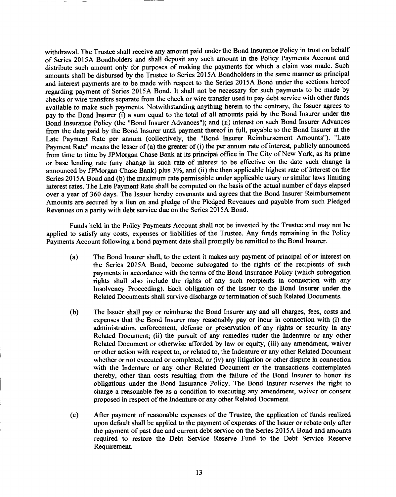withdrawal. The Trustee shall receive any amount paid under the Bond Insurance Policy in trust on behalf of Series 2015A Bondholders and shall deposit any such amount in the Policy Payments Account and distribute such amount only for purposes of making the payments for which a claim was made. Such amounts shall be disbursed by the Trustee to Series 2015A Bondholders in the same manner as principal and interest payments are to be made with respect to the Series 2015A Bond under the sections hereof regarding payment of Series 2015A Bond. It shall not be necessary for such payments to be made by checks or wire transfers separate from the check or wire transfer used to pay debt service with other funds available to make such payments. Notwithstanding anything herein to the contrary, the Issuer agrees to pay to the Bond Insurer (i) a sum equal to the total of all amounts paid by the Bond Insurer under the Bond Insurance Policy (the "Bond Insurer Advances"); and (ii) interest on such Bond Insurer Advances from the date paid by the Bond Insurer until payment thereof in full, payable to the Bond Insurer at the Late Payment Rate per annum (collectively, the "Bond Insurer Reimbursement Amounts"). "Late Payment Rate" means the lesser of (a) the greater of (i) the per annum rate of interest, publicly announced from time to time by JPMorgan Chase Bank at its principal office in The City of New York, as its prime or base lending rate (any change in such rate of interest to be effective on the date such change is announced by JPMorgan Chase Bank) plus 3%, and (ii) the then applicable highest rate of interest on the Series 2015A Bond and (b) the maximum rate permissible under applicable usury or similar laws limiting interest rates. The Late Payment Rate shall be computed on the basis of the actual number of days elapsed over a year of 360 days. The Issuer hereby covenants and agrees that the Bond Insurer Reimbursement Amounts are secured by a lien on and pledge of the Pledged Revenues and payable from such Pledged Revenues on a parity with debt service due on the Series 2015A Bond.

Funds held in the Policy Payments Account shall not be invested by the Trustee and may not be applied to satisfy any costs, expenses or liabilities of the Trustee. Any funds remaining in the Policy Payments Account following a bond payment date shall promptly be remitted to the Bond Insurer.

- (a) The Bond Insurer shall, to the extent it makes any payment of principal of or interest on the Series 2015A Bond, become subrogated to the rights of the recipients of such payments in accordance with the terms of the Bond Insurance Policy (which subrogation rights shall also include the rights of any such recipients in connection with any Insolvency Proceeding). Each obligation of the Issuer to the Bond Insurer under the Related Documents shall survive discharge or termination of such Related Documents.
- (b) The Issuer shall pay or reimburse the Bond Insurer any and all charges, fees, costs and expenses that the Bond Insurer may reasonably pay or incur in connection with (i) the administration, enforcement, defense or preservation of any rights or security in any Related Document; (ii) the pursuit of any remedies under the Indenture or any other Related Document or otherwise afforded by law or equity, (iii) any amendment, waiver or other action with respect to, or related to, the Indenture or any other Related Document whether or not executed or completed, or (iv) any litigation or other dispute in connection with the Indenture or any other Related Document or the transactions contemplated thereby, other than costs resulting from the failure of the Bond Insurer to honor its obligations under the Bond Insurance Policy. The Bond Insurer reserves the right to charge a reasonable fee as a condition to executing any amendment, waiver or consent proposed in respect of the Indenture or any other Related Document.
- (c) After payment of reasonable expenses of the Trustee, the application of funds realized upon default shall be applied to the payment of expenses of the Issuer or rebate only after the payment of past due and current debt service on the Series 2015A Bond and amounts required to restore the Debt Service Reserve Fund to the Debt Service Reserve Requirement.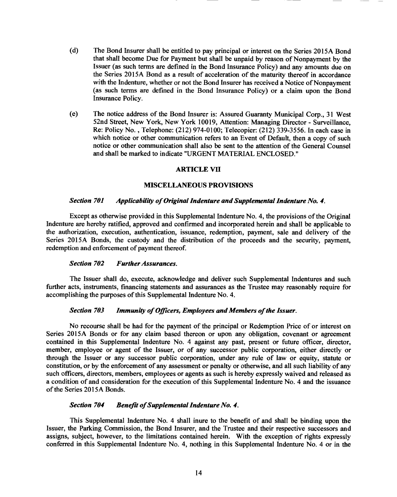- (d) The Bond Insurer shall be entitled to pay principal or interest on the Series 2015A Bond that shall become Due for Payment but shall be unpaid by reason of Nonpayment by the Issuer (as such terms are defined in the Bond Insurance Policy) and any amounts due on the Series 2015A Bond as a result of acceleration of the maturity thereof in accordance with the Indenture, whether or not the Bond Insurer has received a Notice of Nonpayment (as such terms are defined in the Bond Insurance Policy) or a claim upon the Bond Insurance Policy.
- (e) The notice address of the Bond Insurer is: Assured Guaranty Municipal Corp., 31 West 52nd Street, New York, New York 10019, Attention: Managing Director - Surveillance, Re: Policy No. , Telephone: (212) 974-0100; Telecopier: (212) 339-3556. In each case in which notice or other communication refers to an Event of Default, then a copy of such notice or other communication shall also be sent to the attention of the General Counsel and shall be marked to indicate "URGENT MATERIAL ENCLOSED."

#### **ARTICLE VII**

#### **MISCELLANEOUS PROVISIONS**

#### *Section 701 Applicability of Original Indenture and Supplemental Indenture No. 4.*

Except as otherwise provided in this Supplemental Indenture No. 4, the provisions of the Original Indenture are hereby ratified, approved and confirmed and incorporated herein and shall be applicable to the authorization, execution, authentication, issuance, redemption, payment, sale and delivery of the Series 2015A Bonds, the custody and the distribution of the proceeds and the security, payment, redemption and enforcement of payment thereof.

#### *Section 702 Further Assurances.*

The Issuer shall do, execute, acknowledge and deliver such Supplemental Indentures and such further acts, instruments, financing statements and assurances as the Trustee may reasonably require for accomplishing the purposes of this Supplemental Indenture No. 4.

#### *Section 703 Immunity of Officers, Employees and Members of the Issuer.*

No recourse shall be had for the payment of the principal or Redemption Price of or interest on Series 2015A Bonds or for any claim based thereon or upon any obligation, covenant or agreement contained in this Supplemental Indenture No. 4 against any past, present or future officer, director, member, employee or agent of the Issuer, or of any successor public corporation, either directly or through the Issuer or any successor public corporation, under any rule of law or equity, statute or constitution, or by the enforcement of any assessment or penalty or otherwise, and all such liability of any such officers, directors, members, employees or agents as such is hereby expressly waived and released as a condition of and consideration for the execution of this Supplemental Indenture No. 4 and the issuance of the Series 2015A Bonds.

#### *Section 704 Benefit of Supplemental Indenture No. 4.*

This Supplemental Indenture No. 4 shall inure to the benefit of and shall be binding upon the Issuer, the Parking Commission, the Bond Insurer, and the Trustee and their respective successors and assigns, subject, however, to the limitations contained herein. With the exception of rights expressly conferred in this Supplemental Indenture No. 4, nothing in this Supplemental Indenture No. 4 or in the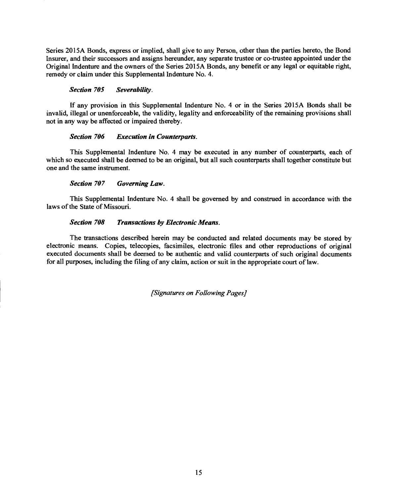Series 2015A Bonds, express or implied, shall give to any Person, other than the parties hereto, the Bond Insurer, and their successors and assigns hereunder, any separate trustee or co-trustee appointed under the Original Indenture and the owners of the Series 2015A Bonds, any benefit or any legal or equitable right, remedy or claim under this Supplemental Indenture No. 4.

#### *Section 705 Severability.*

If any provision in this Supplemental Indenture No. 4 or in the Series 2015A Bonds shall be invalid, illegal or unenforceable, the validity, legality and enforceability of the remaining provisions shall not in any way be affected or impaired thereby.

#### *Section 706 Execution in Counterparts.*

This Supplemental Indenture No. 4 may be executed in any number of counterparts, each of which so executed shall be deemed to be an original, but all such counterparts shall together constitute but one and the same instrument.

### *Section 707 Governing Law.*

This Supplemental Indenture No. 4 shall be governed by and construed in accordance with the laws of the State of Missouri.

### *Section 708 Transactions by Electronic Means.*

The transactions described herein may be conducted and related documents may be stored by electronic means. Copies, telecopies, facsimiles, electronic files and other reproductions of original executed documents shall be deemed to be authentic and valid counterparts of such original documents for all purposes, including the filing of any claim, action or suit in the appropriate court of law.

*[Signatures on Following Pages]*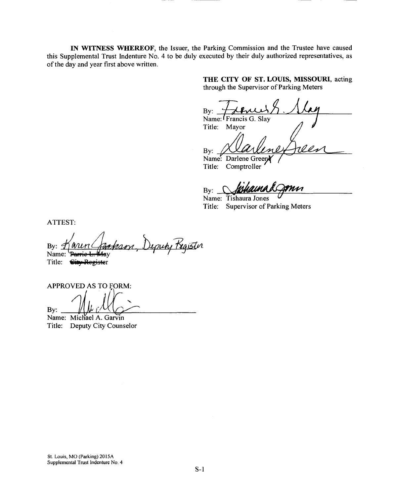**IN WITNESS WHEREOF,** the Issuer, the Parking Commission and the Trustee have caused this Supplemental Trust Indenture No. 4 to be duly executed by their duly authorized representatives, as of the day and year first above written.

> **THE CITY OF ST. LOUIS, MISSOURI,** acting through the Supervisor of Parking Meters

By: Name: Francis G. Slay Title: Mayor By:

Name: Darlene Green Title: Comptroller

M By:

Name: Tishaura Jones Title: Supervisor of Parking Meters

ATTEST:

cheson, Depun Register By:  $\varphi$ Name: Parrie fαγ

Title: <del>City Registe</del>r

APPROVED AS TO FORM:

By:

Name: Michael A. Garvin Title: Deputy City Counselor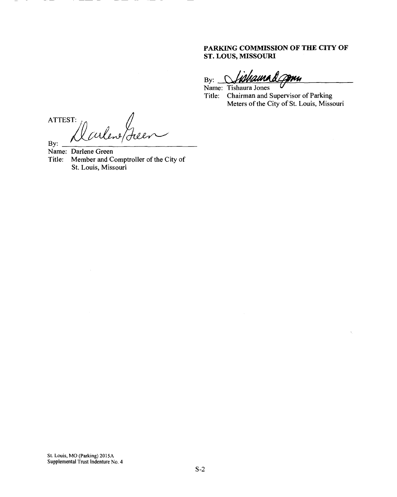### **PARKING COMMISSION OF THE CITY OF ST. LOUS, MISSOURI**

ama A *Co*mu  $By:$ 

Name: Tishaura Jones Title: Chairman and Supervisor of Parking Meters of the City of St. Louis, Missouri

ATTEST: What By:

Name: Darlene Green<br>Title: Member and C Member and Comptroller of the City of St. Louis, Missouri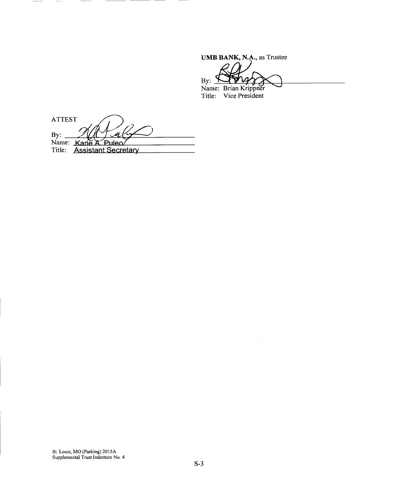**UMB BANK, N.A.,** as Trustee By: Name: Brian Krippner Title: Vice President

**ATTEST** By: 1/1/1 *M*<br>Name: Karie A. Puleo<br>Title: Assistant Secretary Puleo

St. Louis, MO (Parking) 2015A Supplemental Trust Indenture No. 4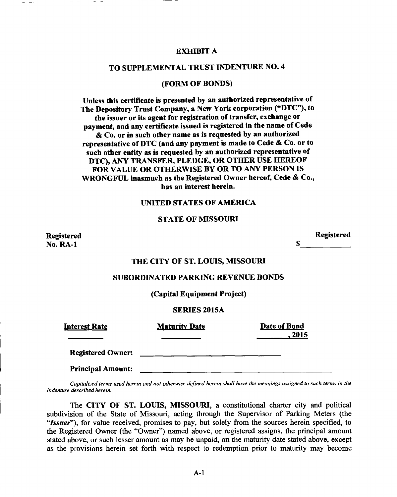#### **EXHIBIT A**

### **TO SUPPLEMENTAL TRUST INDENTURE NO. 4**

#### **(FORM OF BONDS)**

**Unless this certificate is presented by an authorized representative of The Depository Trust Company, a New York corporation ("DTC"), to the issuer or its agent for registration of transfer, exchange or payment, and any certificate issued is registered in the name of Cede & Co. or in such other name as is requested by an authorized representative of DTC (and any payment is made to Cede & Co. or to such other entity as is requested by an authorized representative of DTC), ANY TRANSFER, PLEDGE, OR OTHER USE HEREOF FOR VALUE OR OTHERWISE BY OR TO ANY PERSON IS WRONGFUL inasmuch as the Registered Owner hereof, Cede & Co., has an interest herein.** 

### **UNITED STATES OF AMERICA**

### **STATE OF MISSOURI**

**Registered No. RA-1** 

**Registered** 

S

#### **THE CITY OF ST. LOUIS, MISSOURI**

#### **SUBORDINATED PARKING REVENUE BONDS**

**(Capital Equipment Project)** 

#### **SERIES 2015A**

| Interest Rate            | <b>Maturity Date</b> | Date of Bond |
|--------------------------|----------------------|--------------|
|                          |                      | , 2015       |
| <b>Registered Owner:</b> |                      |              |
| <b>Principal Amount:</b> |                      |              |

*Capitalized terms used herein and not otherwise defined herein shall have the meanings assigned to such terms in the Indenture described herein.* 

The **CITY OF ST. LOUIS, MISSOURI,** a constitutional charter city and political subdivision of the State of Missouri, acting through the Supervisor of Parking Meters (the *"Issuer"),* for value received, promises to pay, but solely from the sources herein specified, to the Registered Owner (the "Owner") named above, or registered assigns, the principal amount stated above, or such lesser amount as may be unpaid, on the maturity date stated above, except as the provisions herein set forth with respect to redemption prior to maturity may become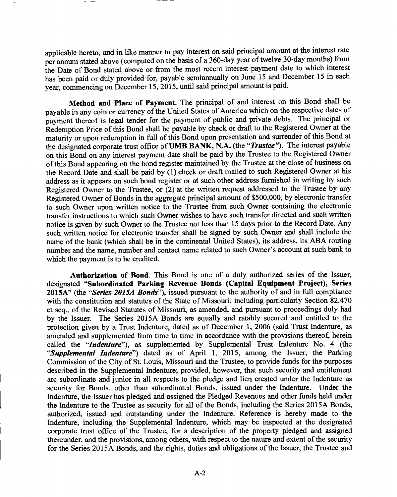applicable hereto, and in like manner to pay interest on said principal amount at the interest rate per annum stated above (computed on the basis of a 360-day year of twelve 30-day months) from the Date of Bond stated above or from the most recent interest payment date to which interest has been paid or duly provided for, payable semiannually on June 15 and December 15 in each year, commencing on December 15, 2015, until said principal amount is paid.

**Method and Place of Payment.** The principal of and interest on this Bond shall be payable in any coin or currency of the United States of America which on the respective dates of payment thereof is legal tender for the payment of public and private debts. The principal or Redemption Price of this Bond shall be payable by check or draft to the Registered Owner at the maturity or upon redemption in full of this Bond upon presentation and surrender of this Bond at the designated corporate trust office of **UMB BANK, N.A.** (the *"Trustee").* The interest payable on this Bond on any interest payment date shall be paid by the Trustee to the Registered Owner of this Bond appearing on the bond register maintained by the Trustee at the close of business on the Record Date and shall be paid by (1) check or draft mailed to such Registered Owner at his address as it appears on such bond register or at such other address furnished in writing by such Registered Owner to the Trustee, or (2) at the written request addressed to the Trustee by any Registered Owner of Bonds in the aggregate principal amount of \$500,000, by electronic transfer to such Owner upon written notice to the Trustee from such Owner containing the electronic transfer instructions to which such Owner wishes to have such transfer directed and such written notice is given by such Owner to the Trustee not less than 15 days prior to the Record Date. Any such written notice for electronic transfer shall be signed by such Owner and shall include the name of the bank (which shall be in the continental United States), its address, its ABA routing number and the name, number and contact name related to such Owner's account at such bank to which the payment is to be credited.

**Authorization of Bond.** This Bond is one of a duly authorized series of the Issuer, designated **"Subordinated Parking Revenue Bonds (Capital Equipment Project), Series 2015A"** (the *"Series 2015A Bonds"),* issued pursuant to the authority of and in full compliance with the constitution and statutes of the State of Missouri, including particularly Section 82.470 et seq., of the Revised Statutes of Missouri, as amended, and pursuant to proceedings duly had by the Issuer. The Series 2015A Bonds are equally and ratably secured and entitled to the protection given by a Trust Indenture, dated as of December 1, 2006 (said Trust Indenture, as amended and supplemented from time to time in accordance with the provisions thereof, herein called the *"Indenture"),* as supplemented by Supplemental Trust Indenture No. 4 (the *"Supplemental Indenture")* dated as of April 1, 2015, among the Issuer, the Parking Commission of the City of St. Louis, Missouri and the Trustee, to provide funds for the purposes described in the Supplemental Indenture; provided, however, that such security and entitlement are subordinate and junior in all respects to the pledge and lien created under the Indenture as security for Bonds, other than subordinated Bonds, issued under the Indenture. Under the Indenture, the Issuer has pledged and assigned the Pledged Revenues and other funds held under the Indenture to the Trustee as security for all of the Bonds, including the Series 2015A Bonds, authorized, issued and outstanding under the Indenture. Reference is hereby made to the Indenture, including the Supplemental Indenture, which may be inspected at the designated corporate trust office of the Trustee, for a description of the property pledged and assigned thereunder, and the provisions, among others, with respect to the nature and extent of the security for the Series 2015A Bonds, and the rights, duties and obligations of the Issuer, the Trustee and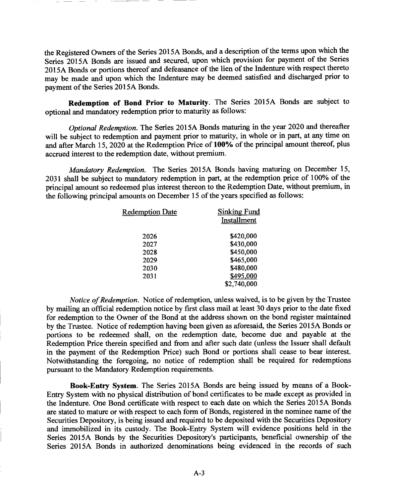the Registered Owners of the Series 2015A Bonds, and a description of the terms upon which the Series 2015A Bonds are issued and secured, upon which provision for payment of the Series 2015A Bonds or portions thereof and defeasance of the lien of the Indenture with respect thereto may be made and upon which the Indenture may be deemed satisfied and discharged prior to payment of the Series 2015A Bonds.

**Redemption of Bond Prior to Maturity.** The Series 2015A Bonds are subject to optional and mandatory redemption prior to maturity as follows:

*Optional Redemption.* The Series 2015A Bonds maturing in the year 2020 and thereafter will be subject to redemption and payment prior to maturity, in whole or in part, at any time on and after March 15, 2020 at the Redemption Price of **100%** of the principal amount thereof, plus accrued interest to the redemption date, without premium.

*Mandatory Redemption.* The Series 2015A Bonds having maturing on December 15, 2031 shall be subject to mandatory redemption in part, at the redemption price of 100% of the principal amount so redeemed plus interest thereon to the Redemption Date, without premium, in the following principal amounts on December 15 of the years specified as follows:

| <b>Redemption Date</b> | <b>Sinking Fund</b> |
|------------------------|---------------------|
|                        | Installment         |
| 2026                   | \$420,000           |
| 2027                   | \$430,000           |
| 2028                   | \$450,000           |
| 2029                   | \$465,000           |
| 2030                   | \$480,000           |
| 2031                   | \$495,000           |
|                        | \$2,740,000         |
|                        |                     |

*Notice of Redemption.* Notice of redemption, unless waived, is to be given by the Trustee by mailing an official redemption notice by first class mail at least 30 days prior to the date fixed for redemption to the Owner of the Bond at the address shown on the bond register maintained by the Trustee. Notice of redemption having been given as aforesaid, the Series 2015A Bonds or portions to be redeemed shall, on the redemption date, become due and payable at the Redemption Price therein specified and from and after such date (unless the Issuer shall default in the payment of the Redemption Price) such Bond or portions shall cease to bear interest. Notwithstanding the foregoing, no notice of redemption shall be required for redemptions pursuant to the Mandatory Redemption requirements.

**Book-Entry System.** The Series 2015A Bonds are being issued by means of a Book-Entry System with no physical distribution of bond certificates to be made except as provided in the Indenture. One Bond certificate with respect to each date on which the Series 2015A Bonds are stated to mature or with respect to each form of Bonds, registered in the nominee name of the Securities Depository, is being issued and required to be deposited with the Securities Depository and immobilized in its custody. The Book-Entry System will evidence positions held in the Series 2015A Bonds by the Securities Depository's participants, beneficial ownership of the Series 2015A Bonds in authorized denominations being evidenced in the records of such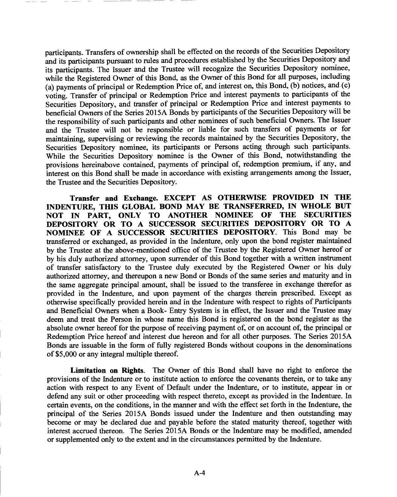participants. Transfers of ownership shall be effected on the records of the Securities Depository and its participants pursuant to rules and procedures established by the Securities Depository and its participants. The Issuer and the Trustee will recognize the Securities Depository nominee, while the Registered Owner of this Bond, as the Owner of this Bond for all purposes, including (a) payments of principal or Redemption Price of, and interest on, this Bond, (b) notices, and (c) voting. Transfer of principal or Redemption Price and interest payments to participants of the Securities Depository, and transfer of principal or Redemption Price and interest payments to beneficial Owners of the Series 2015A Bonds by participants of the Securities Depository will be the responsibility of such participants and other nominees of such beneficial Owners. The Issuer and the Trustee will not be responsible or liable for such transfers of payments or for maintaining, supervising or reviewing the records maintained by the Securities Depository, the Securities Depository nominee, its participants or Persons acting through such participants. While the Securities Depository nominee is the Owner of this Bond, notwithstanding the provisions hereinabove contained, payments of principal of, redemption premium, if any, and interest on this Bond shall be made in accordance with existing arrangements among the Issuer, the Trustee and the Securities Depository.

**Transfer and Exchange. EXCEPT AS OTHERWISE PROVIDED IN THE INDENTURE, THIS GLOBAL BOND MAY BE TRANSFERRED, IN WHOLE BUT NOT IN PART, ONLY TO ANOTHER NOMINEE OF THE SECURITIES DEPOSITORY OR TO A SUCCESSOR SECURITIES DEPOSITORY OR TO A NOMINEE OF A SUCCESSOR SECURITIES DEPOSITORY.** This Bond may be transferred or exchanged, as provided in the Indenture, only upon the bond register maintained by the Trustee at the above-mentioned office of the Trustee by the Registered Owner hereof or by his duly authorized attorney, upon surrender of this Bond together with a written instrument of transfer satisfactory to the Trustee duly executed by the Registered Owner or his duly authorized attorney, and thereupon a new Bond or Bonds of the same series and maturity and in the same aggregate principal amount, shall be issued to the transferee in exchange therefor as provided in the Indenture, and upon payment of the charges therein prescribed. Except as otherwise specifically provided herein and in the Indenture with respect to rights of Participants and Beneficial Owners when a Book- Entry System is in effect, the Issuer and the Trustee may deem and treat the Person in whose name this Bond is registered on the bond register as the absolute owner hereof for the purpose of receiving payment of, or on account of, the principal or Redemption Price hereof and interest due hereon and for all other purposes. The Series 2015A Bonds are issuable in the form of fully registered Bonds without coupons in the denominations of \$5,000 or any integral multiple thereof.

**Limitation on Rights.** The Owner of this Bond shall have no right to enforce the provisions of the Indenture or to institute action to enforce the covenants therein, or to take any action with respect to any Event of Default under the Indenture, or to institute, appear in or defend any suit or other proceeding with respect thereto, except as provided in the Indenture. In certain events, on the conditions, in the manner and with the effect set forth in the Indenture, the principal of the Series 2015A Bonds issued under the Indenture and then outstanding may become or may be declared due and payable before the stated maturity thereof, together with interest accrued thereon. The Series 2015A Bonds or the Indenture may be modified, amended or supplemented only to the extent and in the circumstances permitted by the Indenture.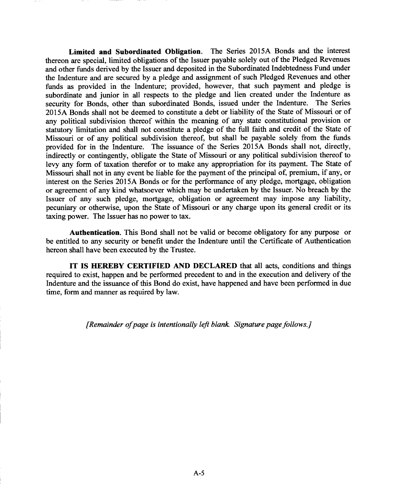**Limited and Subordinated Obligation.** The Series 2015A Bonds and the interest thereon are special, limited obligations of the Issuer payable solely out of the Pledged Revenues and other funds derived by the Issuer and deposited in the Subordinated Indebtedness Fund under the Indenture and are secured by a pledge and assignment of such Pledged Revenues and other funds as provided in the Indenture; provided, however, that such payment and pledge is subordinate and junior in all respects to the pledge and lien created under the Indenture as security for Bonds, other than subordinated Bonds, issued under the Indenture. The Series 2015A Bonds shall not be deemed to constitute a debt or liability of the State of Missouri or of any political subdivision thereof within the meaning of any state constitutional provision or statutory limitation and shall not constitute a pledge of the full faith and credit of the State of Missouri or of any political subdivision thereof, but shall be payable solely from the funds provided for in the Indenture. The issuance of the Series 2015A Bonds shall not, directly, indirectly or contingently, obligate the State of Missouri or any political subdivision thereof to levy any form of taxation therefor or to make any appropriation for its payment. The State of Missouri shall not in any event be liable for the payment of the principal of, premium, if any, or interest on the Series 2015A Bonds or for the performance of any pledge, mortgage, obligation or agreement of any kind whatsoever which may be undertaken by the Issuer. No breach by the Issuer of any such pledge, mortgage, obligation or agreement may impose any liability, pecuniary or otherwise, upon the State of Missouri or any charge upon its general credit or its taxing power. The Issuer has no power to tax.

**Authentication.** This Bond shall not be valid or become obligatory for any purpose or be entitled to any security or benefit under the Indenture until the Certificate of Authentication hereon shall have been executed by the Trustee.

**IT IS HEREBY CERTIFIED AND DECLARED** that all acts, conditions and things required to exist, happen and be performed precedent to and in the execution and delivery of the Indenture and the issuance of this Bond do exist, have happened and have been performed in due time, form and manner as required by law.

*[Remainder of page is intentionally left blank Signature page follows.]*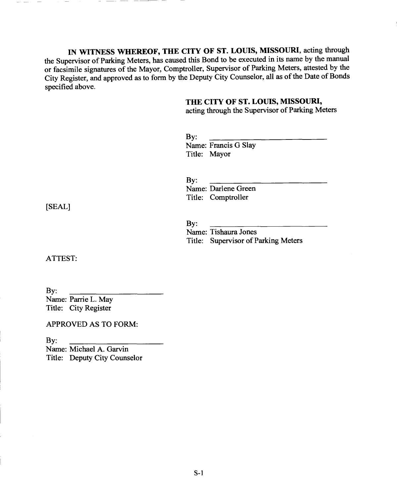IN WITNESS WHEREOF, THE CITY OF ST. LOUIS, MISSOURI, acting through the Supervisor of Parking Meters, has caused this Bond to be executed in its name by the manual or facsimile signatures of the Mayor, Comptroller, Supervisor of Parking Meters, attested by the City Register, and approved as to form by the Deputy City Counselor, all as of the Date of Bonds specified above.

### **THE CITY OF ST. LOUIS, MISSOURI,**

acting through the Supervisor of Parking Meters

| $\mathbf{By:}$ |                      |
|----------------|----------------------|
|                | Name: Francis G Slay |
|                | Title: Mayor         |

By: Name: Darlene Green Title: Comptroller

[SEAL]

#### By:

Name: Tishaura Jones Title: Supervisor of Parking Meters

ATTEST:

By: Name: Parrie L. May Title: City Register

APPROVED AS TO FORM:

By: Name: Michael A. Garvin Title: Deputy City Counselor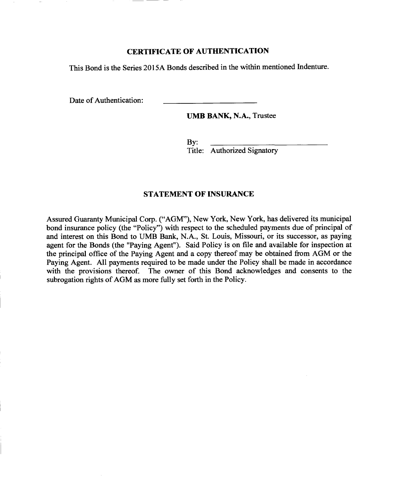### **CERTIFICATE OF AUTHENTICATION**

This Bond is the Series 2015A Bonds described in the within mentioned Indenture.

Date of Authentication:

**UMB BANK, N.A.,** Trustee

By: Title: Authorized Signatory

### **STATEMENT OF INSURANCE**

Assured Guaranty Municipal Corp. ("AGM"), New York, New York, has delivered its municipal bond insurance policy (the "Policy") with respect to the scheduled payments due of principal of and interest on this Bond to UMB Bank, N.A., St. Louis, Missouri, or its successor, as paying agent for the Bonds (the "Paying Agent"). Said Policy is on file and available for inspection at the principal office of the Paying Agent and a copy thereof may be obtained from AGM or the Paying Agent. All payments required to be made under the Policy shall be made in accordance with the provisions thereof. The owner of this Bond acknowledges and consents to the subrogation rights of AGM as more fully set forth in the Policy.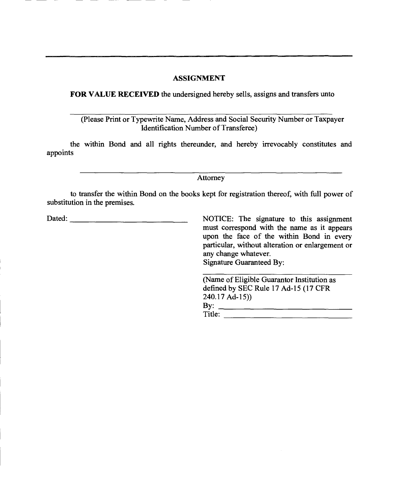### **ASSIGNMENT**

**FOR VALUE RECEIVED** the undersigned hereby sells, assigns and transfers unto

(Please Print or Typewrite Name, Address and Social Security Number or Taxpayer Identification Number of Transferee)

the within Bond and all rights thereunder, and hereby irrevocably constitutes and appoints

Attorney

to transfer the within Bond on the books kept for registration thereof, with full power of substitution in the premises.

Dated: <u>NOTICE:</u> The signature to this assignment

must correspond with the name as it appears upon the face of the within Bond in every particular, without alteration or enlargement or any change whatever. Signature Guaranteed By:

(Name of Eligible Guarantor Institution as defined by SEC Rule 17 Ad-15 (17 CFR 240.17 Ad-15)) By: Title: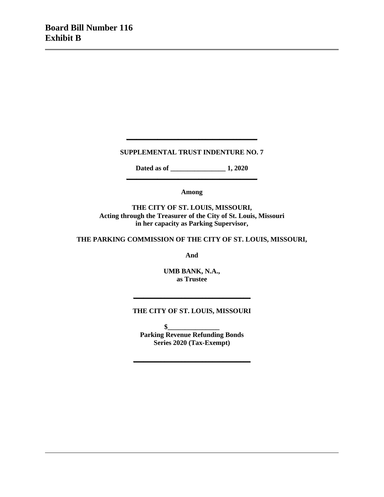## **SUPPLEMENTAL TRUST INDENTURE NO. 7**

**\_\_\_\_\_\_\_\_\_\_\_\_\_\_\_\_\_\_\_\_\_\_\_\_\_\_\_\_\_\_\_\_\_\_\_\_\_\_**

**Dated as of \_\_\_\_\_\_\_\_\_\_\_\_\_\_\_\_ 1, 2020 \_\_\_\_\_\_\_\_\_\_\_\_\_\_\_\_\_\_\_\_\_\_\_\_\_\_\_\_\_\_\_\_\_\_\_\_\_\_**

**Among**

**THE CITY OF ST. LOUIS, MISSOURI, Acting through the Treasurer of the City of St. Louis, Missouri in her capacity as Parking Supervisor,**

**THE PARKING COMMISSION OF THE CITY OF ST. LOUIS, MISSOURI,**

**And**

**UMB BANK, N.A., as Trustee**

### **THE CITY OF ST. LOUIS, MISSOURI**

**\_\_\_\_\_\_\_\_\_\_\_\_\_\_\_\_\_\_\_\_\_\_\_\_\_\_\_\_\_\_\_\_\_\_**

 $\bullet$ **Parking Revenue Refunding Bonds Series 2020 (Tax-Exempt)**

**\_\_\_\_\_\_\_\_\_\_\_\_\_\_\_\_\_\_\_\_\_\_\_\_\_\_\_\_\_\_\_\_\_\_**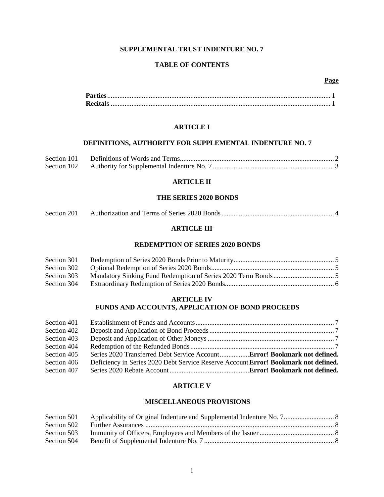## **SUPPLEMENTAL TRUST INDENTURE NO. 7**

### **TABLE OF CONTENTS**

### **Page**

### **ARTICLE I**

### **DEFINITIONS, AUTHORITY FOR SUPPLEMENTAL INDENTURE NO. 7**

### **ARTICLE II**

### **THE SERIES 2020 BONDS**

| Section 201 |  |  |
|-------------|--|--|
|-------------|--|--|

### **ARTICLE III**

### **REDEMPTION OF SERIES 2020 BONDS**

| Section 301 |  |
|-------------|--|
| Section 302 |  |
| Section 303 |  |
| Section 304 |  |

### **ARTICLE IV FUNDS AND ACCOUNTS, APPLICATION OF BOND PROCEEDS**

| Section 401 |                                                                                     |  |
|-------------|-------------------------------------------------------------------------------------|--|
| Section 402 |                                                                                     |  |
| Section 403 |                                                                                     |  |
| Section 404 |                                                                                     |  |
| Section 405 | Series 2020 Transferred Debt Service AccountError! Bookmark not defined.            |  |
| Section 406 | Deficiency in Series 2020 Debt Service Reserve Account Error! Bookmark not defined. |  |
| Section 407 |                                                                                     |  |

### **ARTICLE V**

### **MISCELLANEOUS PROVISIONS**

| Section 501 |  |
|-------------|--|
| Section 502 |  |
| Section 503 |  |
| Section 504 |  |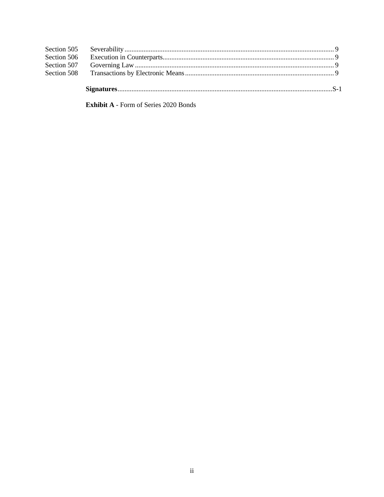Exhibit A - Form of Series 2020 Bonds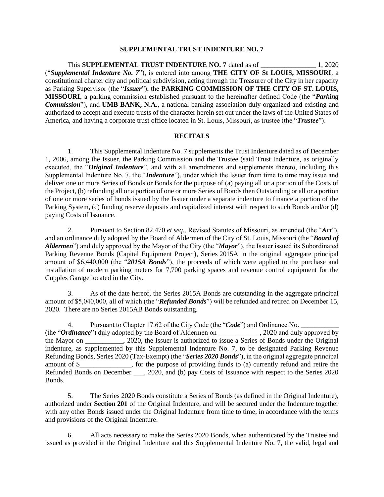#### **SUPPLEMENTAL TRUST INDENTURE NO. 7**

This **SUPPLEMENTAL TRUST INDENTURE NO. 7** dated as of  $1, 2020$ ("*Supplemental Indenture No. 7*"), is entered into among **THE CITY OF St LOUIS, MISSOURI**, a constitutional charter city and political subdivision, acting through the Treasurer of the City in her capacity as Parking Supervisor (the "*Issuer*"), the **PARKING COMMISSION OF THE CITY OF ST. LOUIS, MISSOURI**, a parking commission established pursuant to the hereinafter defined Code (the "*Parking Commission*"), and **UMB BANK, N.A.**, a national banking association duly organized and existing and authorized to accept and execute trusts of the character herein set out under the laws of the United States of America, and having a corporate trust office located in St. Louis, Missouri, as trustee (the "*Trustee*").

### **RECITALS**

1. This Supplemental Indenture No. 7 supplements the Trust Indenture dated as of December 1, 2006, among the Issuer, the Parking Commission and the Trustee (said Trust Indenture, as originally executed, the "*Original Indenture*", and with all amendments and supplements thereto, including this Supplemental Indenture No. 7, the "*Indenture*"), under which the Issuer from time to time may issue and deliver one or more Series of Bonds or Bonds for the purpose of (a) paying all or a portion of the Costs of the Project, (b) refunding all or a portion of one or more Series of Bonds then Outstanding or all or a portion of one or more series of bonds issued by the Issuer under a separate indenture to finance a portion of the Parking System, (c) funding reserve deposits and capitalized interest with respect to such Bonds and/or (d) paying Costs of Issuance.

2. Pursuant to Section 82.470 *et seq.*, Revised Statutes of Missouri, as amended (the "*Act*"), and an ordinance duly adopted by the Board of Aldermen of the City of St. Louis, Missouri (the "*Board of Aldermen*") and duly approved by the Mayor of the City (the "*Mayor*"), the Issuer issued its Subordinated Parking Revenue Bonds (Capital Equipment Project), Series 2015A in the original aggregate principal amount of \$6,440,000 (the "*2015A Bonds*"), the proceeds of which were applied to the purchase and installation of modern parking meters for 7,700 parking spaces and revenue control equipment for the Cupples Garage located in the City.

3. As of the date hereof, the Series 2015A Bonds are outstanding in the aggregate principal amount of \$5,040,000, all of which (the "*Refunded Bonds*") will be refunded and retired on December 15, 2020. There are no Series 2015AB Bonds outstanding.

4. Pursuant to Chapter 17.62 of the City Code (the "*Code*") and Ordinance No. (the "**Ordinance**") duly adopted by the Board of Aldermen on . 2020 and duly approved by the Mayor on \_\_\_\_\_\_\_\_\_\_\_, 2020, the Issuer is authorized to issue a Series of Bonds under the Original indenture, as supplemented by this Supplemental Indenture No. 7, to be designated Parking Revenue Refunding Bonds, Series 2020 (Tax-Exempt) (the "*Series 2020 Bonds*"), in the original aggregate principal amount of \$\_\_\_\_\_\_\_\_\_\_\_\_\_\_\_, for the purpose of providing funds to (a) currently refund and retire the Refunded Bonds on December \_\_\_, 2020, and (b) pay Costs of Issuance with respect to the Series 2020 Bonds.

5. The Series 2020 Bonds constitute a Series of Bonds (as defined in the Original Indenture), authorized under **Section 201** of the Original Indenture, and will be secured under the Indenture together with any other Bonds issued under the Original Indenture from time to time, in accordance with the terms and provisions of the Original Indenture.

6. All acts necessary to make the Series 2020 Bonds, when authenticated by the Trustee and issued as provided in the Original Indenture and this Supplemental Indenture No. 7, the valid, legal and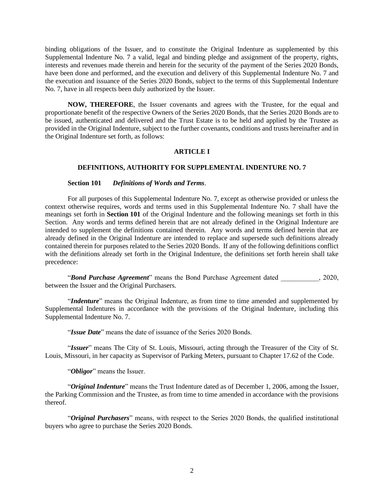binding obligations of the Issuer, and to constitute the Original Indenture as supplemented by this Supplemental Indenture No. 7 a valid, legal and binding pledge and assignment of the property, rights, interests and revenues made therein and herein for the security of the payment of the Series 2020 Bonds, have been done and performed, and the execution and delivery of this Supplemental Indenture No. 7 and the execution and issuance of the Series 2020 Bonds, subject to the terms of this Supplemental Indenture No. 7, have in all respects been duly authorized by the Issuer.

**NOW, THEREFORE**, the Issuer covenants and agrees with the Trustee, for the equal and proportionate benefit of the respective Owners of the Series 2020 Bonds, that the Series 2020 Bonds are to be issued, authenticated and delivered and the Trust Estate is to be held and applied by the Trustee as provided in the Original Indenture, subject to the further covenants, conditions and trusts hereinafter and in the Original Indenture set forth, as follows:

### **ARTICLE I**

### **DEFINITIONS, AUTHORITY FOR SUPPLEMENTAL INDENTURE NO. 7**

**Section 101** *Definitions of Words and Terms*.

For all purposes of this Supplemental Indenture No. 7, except as otherwise provided or unless the context otherwise requires, words and terms used in this Supplemental Indenture No. 7 shall have the meanings set forth in **Section 101** of the Original Indenture and the following meanings set forth in this Section. Any words and terms defined herein that are not already defined in the Original Indenture are intended to supplement the definitions contained therein. Any words and terms defined herein that are already defined in the Original Indenture are intended to replace and supersede such definitions already contained therein for purposes related to the Series 2020 Bonds. If any of the following definitions conflict with the definitions already set forth in the Original Indenture, the definitions set forth herein shall take precedence:

"*Bond Purchase Agreement*" means the Bond Purchase Agreement dated \_\_\_\_\_\_\_\_\_\_\_, 2020, between the Issuer and the Original Purchasers.

"*Indenture*" means the Original Indenture, as from time to time amended and supplemented by Supplemental Indentures in accordance with the provisions of the Original Indenture, including this Supplemental Indenture No. 7.

"*Issue Date*" means the date of issuance of the Series 2020 Bonds.

"*Issuer*" means The City of St. Louis, Missouri, acting through the Treasurer of the City of St. Louis, Missouri, in her capacity as Supervisor of Parking Meters, pursuant to Chapter 17.62 of the Code.

"*Obligor*" means the Issuer.

"*Original Indenture*" means the Trust Indenture dated as of December 1, 2006, among the Issuer, the Parking Commission and the Trustee, as from time to time amended in accordance with the provisions thereof.

"*Original Purchasers*" means, with respect to the Series 2020 Bonds, the qualified institutional buyers who agree to purchase the Series 2020 Bonds.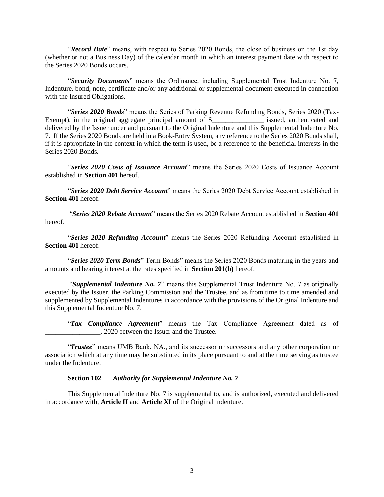"*Record Date*" means, with respect to Series 2020 Bonds, the close of business on the 1st day (whether or not a Business Day) of the calendar month in which an interest payment date with respect to the Series 2020 Bonds occurs.

"*Security Documents*" means the Ordinance, including Supplemental Trust Indenture No. 7, Indenture, bond, note, certificate and/or any additional or supplemental document executed in connection with the Insured Obligations.

"*Series 2020 Bonds*" means the Series of Parking Revenue Refunding Bonds, Series 2020 (Tax-Exempt), in the original aggregate principal amount of \$\_\_\_\_\_\_\_\_\_\_\_\_\_\_\_\_\_\_ issued, authenticated and delivered by the Issuer under and pursuant to the Original Indenture and this Supplemental Indenture No. 7. If the Series 2020 Bonds are held in a Book-Entry System, any reference to the Series 2020 Bonds shall, if it is appropriate in the context in which the term is used, be a reference to the beneficial interests in the Series 2020 Bonds.

"*Series 2020 Costs of Issuance Account*" means the Series 2020 Costs of Issuance Account established in **Section 401** hereof.

"*Series 2020 Debt Service Account*" means the Series 2020 Debt Service Account established in **Section 401** hereof.

"*Series 2020 Rebate Account*" means the Series 2020 Rebate Account established in **Section 401** hereof.

"*Series 2020 Refunding Account*" means the Series 2020 Refunding Account established in **Section 401** hereof.

"*Series 2020 Term Bonds*" Term Bonds" means the Series 2020 Bonds maturing in the years and amounts and bearing interest at the rates specified in **Section 201(b)** hereof.

"*Supplemental Indenture No. 7*" means this Supplemental Trust Indenture No. 7 as originally executed by the Issuer, the Parking Commission and the Trustee, and as from time to time amended and supplemented by Supplemental Indentures in accordance with the provisions of the Original Indenture and this Supplemental Indenture No. 7.

"*Tax Compliance Agreement*" means the Tax Compliance Agreement dated as of \_\_\_\_\_\_\_\_\_\_\_\_\_\_\_\_, 2020 between the Issuer and the Trustee.

"*Trustee*" means UMB Bank, NA., and its successor or successors and any other corporation or association which at any time may be substituted in its place pursuant to and at the time serving as trustee under the Indenture.

### **Section 102** *Authority for Supplemental Indenture No. 7*.

This Supplemental Indenture No. 7 is supplemental to, and is authorized, executed and delivered in accordance with, **Article II** and **Article XI** of the Original indenture.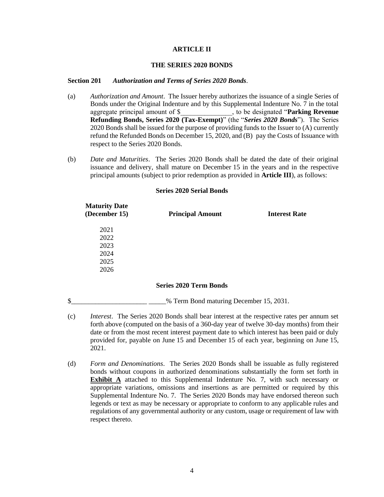#### **ARTICLE II**

### **THE SERIES 2020 BONDS**

### **Section 201** *Authorization and Terms of Series 2020 Bonds*.

- (a) *Authorization and Amount*. The Issuer hereby authorizes the issuance of a single Series of Bonds under the Original Indenture and by this Supplemental Indenture No. 7 in the total aggregate principal amount of \$\_\_\_\_\_\_\_\_\_\_\_\_\_\_\_, to be designated "**Parking Revenue Refunding Bonds, Series 2020 (Tax-Exempt)**" (the "*Series 2020 Bonds*"). The Series 2020 Bonds shall be issued for the purpose of providing funds to the Issuer to (A) currently refund the Refunded Bonds on December 15, 2020, and (B) pay the Costs of Issuance with respect to the Series 2020 Bonds.
- (b) *Date and Maturities*. The Series 2020 Bonds shall be dated the date of their original issuance and delivery, shall mature on December 15 in the years and in the respective principal amounts (subject to prior redemption as provided in **Article III**), as follows:

#### **Series 2020 Serial Bonds**

| <b>Maturity Date</b><br>(December 15) | <b>Principal Amount</b>                 | <b>Interest Rate</b> |
|---------------------------------------|-----------------------------------------|----------------------|
| 2021                                  |                                         |                      |
| 2022                                  |                                         |                      |
| 2023                                  |                                         |                      |
| 2024                                  |                                         |                      |
| 2025                                  |                                         |                      |
| 2026                                  |                                         |                      |
|                                       | <b>Series 2020 Term Bonds</b>           |                      |
| \$                                    | % Term Bond maturing December 15, 2031. |                      |

- (c) *Interest*. The Series 2020 Bonds shall bear interest at the respective rates per annum set forth above (computed on the basis of a 360-day year of twelve 30-day months) from their date or from the most recent interest payment date to which interest has been paid or duly provided for, payable on June 15 and December 15 of each year, beginning on June 15, 2021.
- (d) *Form and Denominations*. The Series 2020 Bonds shall be issuable as fully registered bonds without coupons in authorized denominations substantially the form set forth in **Exhibit A** attached to this Supplemental Indenture No. 7, with such necessary or appropriate variations, omissions and insertions as are permitted or required by this Supplemental Indenture No. 7. The Series 2020 Bonds may have endorsed thereon such legends or text as may be necessary or appropriate to conform to any applicable rules and regulations of any governmental authority or any custom, usage or requirement of law with respect thereto.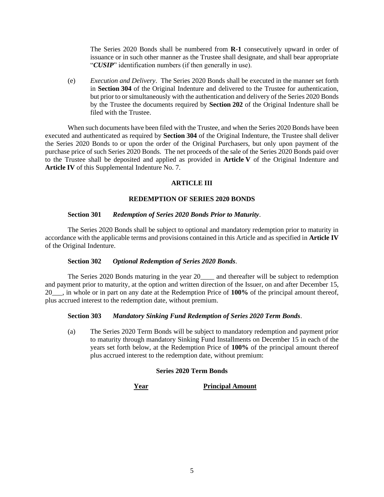The Series 2020 Bonds shall be numbered from **R-1** consecutively upward in order of issuance or in such other manner as the Trustee shall designate, and shall bear appropriate "*CUSIP*" identification numbers (if then generally in use).

(e) *Execution and Delivery*. The Series 2020 Bonds shall be executed in the manner set forth in **Section 304** of the Original Indenture and delivered to the Trustee for authentication, but prior to or simultaneously with the authentication and delivery of the Series 2020 Bonds by the Trustee the documents required by **Section 202** of the Original Indenture shall be filed with the Trustee.

When such documents have been filed with the Trustee, and when the Series 2020 Bonds have been executed and authenticated as required by **Section 304** of the Original Indenture, the Trustee shall deliver the Series 2020 Bonds to or upon the order of the Original Purchasers, but only upon payment of the purchase price of such Series 2020 Bonds. The net proceeds of the sale of the Series 2020 Bonds paid over to the Trustee shall be deposited and applied as provided in **Article V** of the Original Indenture and **Article IV** of this Supplemental Indenture No. 7.

### **ARTICLE III**

### **REDEMPTION OF SERIES 2020 BONDS**

### **Section 301** *Redemption of Series 2020 Bonds Prior to Maturity*.

The Series 2020 Bonds shall be subject to optional and mandatory redemption prior to maturity in accordance with the applicable terms and provisions contained in this Article and as specified in **Article IV** of the Original Indenture.

### **Section 302** *Optional Redemption of Series 2020 Bonds*.

The Series 2020 Bonds maturing in the year 20\_\_\_\_\_ and thereafter will be subject to redemption and payment prior to maturity, at the option and written direction of the Issuer, on and after December 15, 20\_\_\_, in whole or in part on any date at the Redemption Price of **100%** of the principal amount thereof, plus accrued interest to the redemption date, without premium.

### **Section 303** *Mandatory Sinking Fund Redemption of Series 2020 Term Bonds*.

(a) The Series 2020 Term Bonds will be subject to mandatory redemption and payment prior to maturity through mandatory Sinking Fund Installments on December 15 in each of the years set forth below, at the Redemption Price of **100%** of the principal amount thereof plus accrued interest to the redemption date, without premium:

## **Series 2020 Term Bonds**

**Year Principal Amount**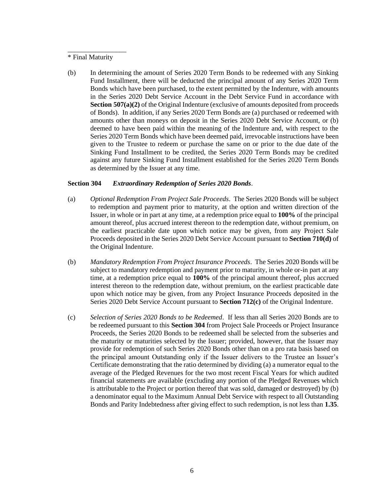#### \* Final Maturity

\_\_\_\_\_\_\_\_\_\_\_\_\_\_\_\_\_

(b) In determining the amount of Series 2020 Term Bonds to be redeemed with any Sinking Fund Installment, there will be deducted the principal amount of any Series 2020 Term Bonds which have been purchased, to the extent permitted by the Indenture, with amounts in the Series 2020 Debt Service Account in the Debt Service Fund in accordance with **Section 507(a)(2)** of the Original Indenture (exclusive of amounts deposited from proceeds of Bonds). In addition, if any Series 2020 Term Bonds are (a) purchased or redeemed with amounts other than moneys on deposit in the Series 2020 Debt Service Account, or (b) deemed to have been paid within the meaning of the Indenture and, with respect to the Series 2020 Term Bonds which have been deemed paid, irrevocable instructions have been given to the Trustee to redeem or purchase the same on or prior to the due date of the Sinking Fund Installment to be credited, the Series 2020 Term Bonds may be credited against any future Sinking Fund Installment established for the Series 2020 Term Bonds as determined by the Issuer at any time.

### **Section 304** *Extraordinary Redemption of Series 2020 Bonds*.

- (a) *Optional Redemption From Project Sale Proceeds*. The Series 2020 Bonds will be subject to redemption and payment prior to maturity, at the option and written direction of the Issuer, in whole or in part at any time, at a redemption price equal to **100%** of the principal amount thereof, plus accrued interest thereon to the redemption date, without premium, on the earliest practicable date upon which notice may be given, from any Project Sale Proceeds deposited in the Series 2020 Debt Service Account pursuant to **Section 710(d)** of the Original Indenture.
- (b) *Mandatory Redemption From Project Insurance Proceeds*. The Series 2020 Bonds will be subject to mandatory redemption and payment prior to maturity, in whole or-in part at any time, at a redemption price equal to **100%** of the principal amount thereof, plus accrued interest thereon to the redemption date, without premium, on the earliest practicable date upon which notice may be given, from any Project Insurance Proceeds deposited in the Series 2020 Debt Service Account pursuant to **Section 712(c)** of the Original Indenture.
- (c) *Selection of Series 2020 Bonds to be Redeemed*. If less than all Series 2020 Bonds are to be redeemed pursuant to this **Section 304** from Project Sale Proceeds or Project Insurance Proceeds, the Series 2020 Bonds to be redeemed shall be selected from the subseries and the maturity or maturities selected by the Issuer; provided, however, that the Issuer may provide for redemption of such Series 2020 Bonds other than on a pro rata basis based on the principal amount Outstanding only if the Issuer delivers to the Trustee an Issuer's Certificate demonstrating that the ratio determined by dividing (a) a numerator equal to the average of the Pledged Revenues for the two most recent Fiscal Years for which audited financial statements are available (excluding any portion of the Pledged Revenues which is attributable to the Project or portion thereof that was sold, damaged or destroyed) by (b) a denominator equal to the Maximum Annual Debt Service with respect to all Outstanding Bonds and Parity Indebtedness after giving effect to such redemption, is not less than **1.35**.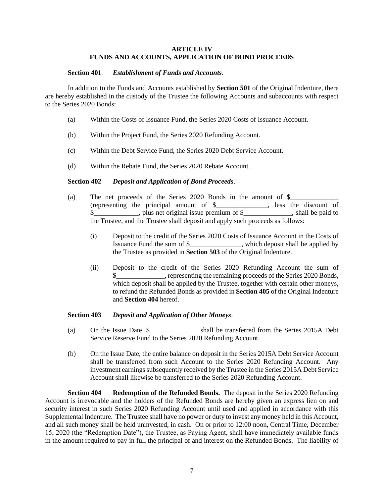### **ARTICLE IV FUNDS AND ACCOUNTS, APPLICATION OF BOND PROCEEDS**

### **Section 401** *Establishment of Funds and Accounts*.

In addition to the Funds and Accounts established by **Section 501** of the Original Indenture, there are hereby established in the custody of the Trustee the following Accounts and subaccounts with respect to the Series 2020 Bonds:

- (a) Within the Costs of Issuance Fund, the Series 2020 Costs of Issuance Account.
- (b) Within the Project Fund, the Series 2020 Refunding Account.
- (c) Within the Debt Service Fund, the Series 2020 Debt Service Account.
- (d) Within the Rebate Fund, the Series 2020 Rebate Account.

### **Section 402** *Deposit and Application of Bond Proceeds*.

- (a) The net proceeds of the Series 2020 Bonds in the amount of  $\$$ (representing the principal amount of \$\_\_\_\_\_\_\_\_\_\_\_\_\_\_\_, less the discount of \$\_\_\_\_\_\_\_\_\_\_\_\_\_, plus net original issue premium of \$\_\_\_\_\_\_\_\_\_\_\_\_\_\_, shall be paid to the Trustee, and the Trustee shall deposit and apply such proceeds as follows:
	- (i) Deposit to the credit of the Series 2020 Costs of Issuance Account in the Costs of Issuance Fund the sum of \$\_\_\_\_\_\_\_\_\_\_\_\_\_\_\_, which deposit shall be applied by the Trustee as provided in **Section 503** of the Original Indenture.
	- (ii) Deposit to the credit of the Series 2020 Refunding Account the sum of \$\_\_\_\_\_\_\_\_\_\_\_\_\_\_, representing the remaining proceeds of the Series 2020 Bonds, which deposit shall be applied by the Trustee, together with certain other moneys, to refund the Refunded Bonds as provided in **Section 405** of the Original Indenture and **Section 404** hereof.

### **Section 403** *Deposit and Application of Other Moneys*.

- (a) On the Issue Date, \$\_\_\_\_\_\_\_\_\_\_\_\_\_\_ shall be transferred from the Series 2015A Debt Service Reserve Fund to the Series 2020 Refunding Account.
- (b) On the Issue Date, the entire balance on deposit in the Series 2015A Debt Service Account shall be transferred from such Account to the Series 2020 Refunding Account. Any investment earnings subsequently received by the Trustee in the Series 2015A Debt Service Account shall likewise be transferred to the Series 2020 Refunding Account.

**Section 404 Redemption of the Refunded Bonds.** The deposit in the Series 2020 Refunding Account is irrevocable and the holders of the Refunded Bonds are hereby given an express lien on and security interest in such Series 2020 Refunding Account until used and applied in accordance with this Supplemental Indenture. The Trustee shall have no power or duty to invest any money held in this Account, and all such money shall be held uninvested, in cash. On or prior to 12:00 noon, Central Time, December 15, 2020 (the "Redemption Date"), the Trustee, as Paying Agent, shall have immediately available funds in the amount required to pay in full the principal of and interest on the Refunded Bonds. The liability of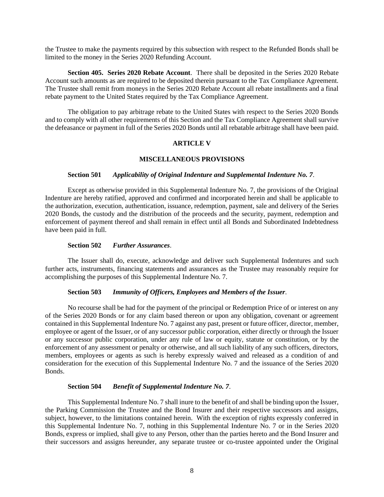the Trustee to make the payments required by this subsection with respect to the Refunded Bonds shall be limited to the money in the Series 2020 Refunding Account.

**Section 405. Series 2020 Rebate Account**. There shall be deposited in the Series 2020 Rebate Account such amounts as are required to be deposited therein pursuant to the Tax Compliance Agreement. The Trustee shall remit from moneys in the Series 2020 Rebate Account all rebate installments and a final rebate payment to the United States required by the Tax Compliance Agreement.

The obligation to pay arbitrage rebate to the United States with respect to the Series 2020 Bonds and to comply with all other requirements of this Section and the Tax Compliance Agreement shall survive the defeasance or payment in full of the Series 2020 Bonds until all rebatable arbitrage shall have been paid.

#### **ARTICLE V**

#### **MISCELLANEOUS PROVISIONS**

### **Section 501** *Applicability of Original Indenture and Supplemental Indenture No. 7*.

Except as otherwise provided in this Supplemental Indenture No. 7, the provisions of the Original Indenture are hereby ratified, approved and confirmed and incorporated herein and shall be applicable to the authorization, execution, authentication, issuance, redemption, payment, sale and delivery of the Series 2020 Bonds, the custody and the distribution of the proceeds and the security, payment, redemption and enforcement of payment thereof and shall remain in effect until all Bonds and Subordinated Indebtedness have been paid in full.

### **Section 502** *Further Assurances*.

The Issuer shall do, execute, acknowledge and deliver such Supplemental Indentures and such further acts, instruments, financing statements and assurances as the Trustee may reasonably require for accomplishing the purposes of this Supplemental Indenture No. 7.

#### **Section 503** *Immunity of Officers, Employees and Members of the Issuer*.

No recourse shall be had for the payment of the principal or Redemption Price of or interest on any of the Series 2020 Bonds or for any claim based thereon or upon any obligation, covenant or agreement contained in this Supplemental Indenture No. 7 against any past, present or future officer, director, member, employee or agent of the Issuer, or of any successor public corporation, either directly or through the Issuer or any successor public corporation, under any rule of law or equity, statute or constitution, or by the enforcement of any assessment or penalty or otherwise, and all such liability of any such officers, directors, members, employees or agents as such is hereby expressly waived and released as a condition of and consideration for the execution of this Supplemental Indenture No. 7 and the issuance of the Series 2020 Bonds.

### **Section 504** *Benefit of Supplemental Indenture No. 7*.

This Supplemental Indenture No. 7 shall inure to the benefit of and shall be binding upon the Issuer, the Parking Commission the Trustee and the Bond Insurer and their respective successors and assigns, subject, however, to the limitations contained herein. With the exception of rights expressly conferred in this Supplemental Indenture No. 7, nothing in this Supplemental Indenture No. 7 or in the Series 2020 Bonds, express or implied, shall give to any Person, other than the parties hereto and the Bond Insurer and their successors and assigns hereunder, any separate trustee or co-trustee appointed under the Original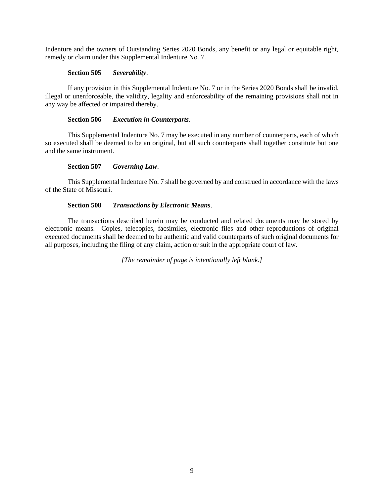Indenture and the owners of Outstanding Series 2020 Bonds, any benefit or any legal or equitable right, remedy or claim under this Supplemental Indenture No. 7.

### **Section 505** *Severability*.

If any provision in this Supplemental Indenture No. 7 or in the Series 2020 Bonds shall be invalid, illegal or unenforceable, the validity, legality and enforceability of the remaining provisions shall not in any way be affected or impaired thereby.

### **Section 506** *Execution in Counterparts*.

This Supplemental Indenture No. 7 may be executed in any number of counterparts, each of which so executed shall be deemed to be an original, but all such counterparts shall together constitute but one and the same instrument.

### **Section 507** *Governing Law*.

This Supplemental Indenture No. 7 shall be governed by and construed in accordance with the laws of the State of Missouri.

### **Section 508** *Transactions by Electronic Means*.

The transactions described herein may be conducted and related documents may be stored by electronic means. Copies, telecopies, facsimiles, electronic files and other reproductions of original executed documents shall be deemed to be authentic and valid counterparts of such original documents for all purposes, including the filing of any claim, action or suit in the appropriate court of law.

*[The remainder of page is intentionally left blank.]*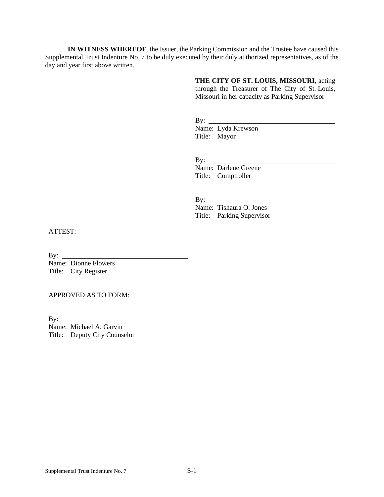**IN WITNESS WHEREOF**, the Issuer, the Parking Commission and the Trustee have caused this Supplemental Trust Indenture No. 7 to be duly executed by their duly authorized representatives, as of the day and year first above written.

**THE CITY OF ST. LOUIS, MISSOURI**, acting

through the Treasurer of The City of St. Louis, Missouri in her capacity as Parking Supervisor

By: Name: Lyda Krewson Title: Mayor

By:

Name: Darlene Greene Title: Comptroller

By:  $\_\_$ 

Name: Tishaura O. Jones Title: Parking Supervisor

ATTEST:

By:

Name: Dionne Flowers Title: City Register

APPROVED AS TO FORM:

By:  $\_\_$ 

Name: Michael A. Garvin Title: Deputy City Counselor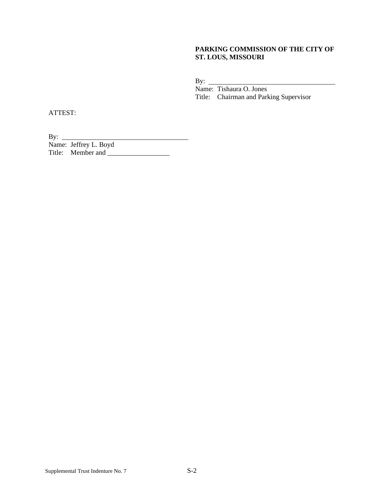### **PARKING COMMISSION OF THE CITY OF ST. LOUS, MISSOURI**

By:

Name: Tishaura O. Jones Title: Chairman and Parking Supervisor

ATTEST:

By: Name: Jeffrey L. Boyd Title: Member and \_\_\_\_\_\_\_\_\_\_\_\_\_\_\_\_\_\_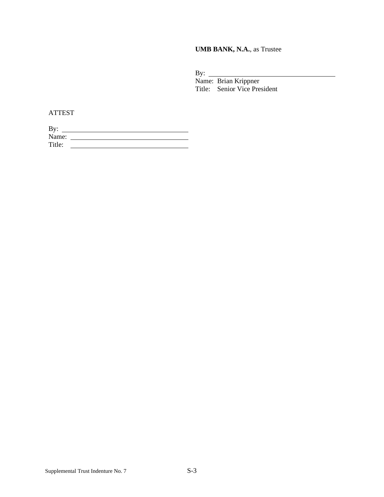**UMB BANK, N.A.**, as Trustee

By:

Name: Brian Krippner Title: Senior Vice President

ATTEST

| By:    |  |
|--------|--|
| Name:  |  |
| Title: |  |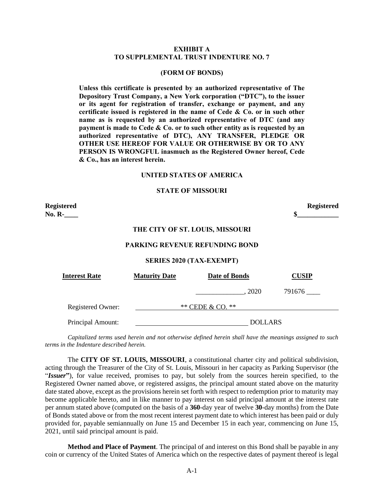#### **EXHIBIT A TO SUPPLEMENTAL TRUST INDENTURE NO. 7**

#### **(FORM OF BONDS)**

**Unless this certificate is presented by an authorized representative of The Depository Trust Company, a New York corporation ("DTC"), to the issuer or its agent for registration of transfer, exchange or payment, and any certificate issued is registered in the name of Cede & Co. or in such other name as is requested by an authorized representative of DTC (and any payment is made to Cede & Co. or to such other entity as is requested by an authorized representative of DTC), ANY TRANSFER, PLEDGE OR OTHER USE HEREOF FOR VALUE OR OTHERWISE BY OR TO ANY PERSON IS WRONGFUL inasmuch as the Registered Owner hereof, Cede & Co., has an interest herein.**

### **UNITED STATES OF AMERICA**

#### **STATE OF MISSOURI**

| <b>Registered</b><br><b>No. R-</b>    |                      |                                       | <b>Registered</b><br>\$ |  |
|---------------------------------------|----------------------|---------------------------------------|-------------------------|--|
|                                       |                      | THE CITY OF ST. LOUIS, MISSOURI       |                         |  |
|                                       |                      | <b>PARKING REVENUE REFUNDING BOND</b> |                         |  |
| <b>SERIES 2020 (TAX-EXEMPT)</b>       |                      |                                       |                         |  |
| <b>Interest Rate</b>                  | <b>Maturity Date</b> | <b>Date of Bonds</b>                  | <b>CUSIP</b>            |  |
|                                       |                      | 2020                                  | 791676                  |  |
| ** CEDE & CO. **<br>Registered Owner: |                      |                                       |                         |  |
| Principal Amount:                     |                      | <b>DOLLARS</b>                        |                         |  |

*Capitalized terms used herein and not otherwise defined herein shall have the meanings assigned to such terms in the Indenture described herein.*

The **CITY OF ST. LOUIS, MISSOURI**, a constitutional charter city and political subdivision, acting through the Treasurer of the City of St. Louis, Missouri in her capacity as Parking Supervisor (the "*Issuer***"**), for value received, promises to pay, but solely from the sources herein specified, to the Registered Owner named above, or registered assigns, the principal amount stated above on the maturity date stated above, except as the provisions herein set forth with respect to redemption prior to maturity may become applicable hereto, and in like manner to pay interest on said principal amount at the interest rate per annum stated above (computed on the basis of a **360**-day year of twelve **30**-day months) from the Date of Bonds stated above or from the most recent interest payment date to which interest has been paid or duly provided for, payable semiannually on June 15 and December 15 in each year, commencing on June 15, 2021, until said principal amount is paid.

**Method and Place of Payment**. The principal of and interest on this Bond shall be payable in any coin or currency of the United States of America which on the respective dates of payment thereof is legal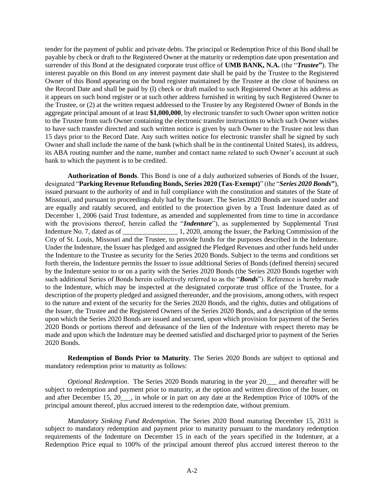tender for the payment of public and private debts. The principal or Redemption Price of this Bond shall be payable by check or draft to the Registered Owner at the maturity or redemption date upon presentation and surrender of this Bond at the designated corporate trust office of **UMB BANK, N.A.** (the "*Trustee***"**). The interest payable on this Bond on any interest payment date shall be paid by the Trustee to the Registered Owner of this Bond appearing on the bond register maintained by the Trustee at the close of business on the Record Date and shall be paid by (l) check or draft mailed to such Registered Owner at his address as it appears on such bond register or at such other address furnished in writing by such Registered Owner to the Trustee, or (2) at the written request addressed to the Trustee by any Registered Owner of Bonds in the aggregate principal amount of at least **\$1,000,000**, by electronic transfer to such Owner upon written notice to the Trustee from such Owner containing the electronic transfer instructions to which such Owner wishes to have such transfer directed and such written notice is given by such Owner to the Trustee not less than 15 days prior to the Record Date. Any such written notice for electronic transfer shall be signed by such Owner and shall include the name of the bank (which shall be in the continental United States), its address, its ABA routing number and the name, number and contact name related to such Owner's account at such bank to which the payment is to be credited.

**Authorization of Bonds**. This Bond is one of a duly authorized subseries of Bonds of the Issuer, designated "**Parking Revenue Refunding Bonds, Series 2020 (Tax-Exempt)**" (the "*Series 2020 Bonds***"**), issued pursuant to the authority of and in full compliance with the constitution and statutes of the State of Missouri, and pursuant to proceedings duly had by the Issuer. The Series 2020 Bonds are issued under and are equally and ratably secured, and entitled to the protection given by a Trust Indenture dated as of December 1, 2006 (said Trust Indenture, as amended and supplemented from time to time in accordance with the provisions thereof, herein called the "*Indenture*"), as supplemented by Supplemental Trust Indenture No. 7, dated as of \_\_\_\_\_\_\_\_\_\_\_\_\_\_\_\_\_\_\_\_\_\_\_ 1, 2020, among the Issuer, the Parking Commission of the City of St. Louis, Missouri and the Trustee, to provide funds for the purposes described in the Indenture. Under the Indenture, the Issuer has pledged and assigned the Pledged Revenues and other funds held under the Indenture to the Trustee as security for the Series 2020 Bonds. Subject to the terms and conditions set forth therein, the Indenture permits the Issuer to issue additional Series of Bonds (defined therein) secured by the Indenture senior to or on a parity with the Series 2020 Bonds (the Series 2020 Bonds together with such additional Series of Bonds herein collectively referred to as the "*Bonds*"). Reference is hereby made to the Indenture, which may be inspected at the designated corporate trust office of the Trustee, for a description of the property pledged and assigned thereunder, and the provisions, among others, with respect to the nature and extent of the security for the Series 2020 Bonds, and the rights, duties and obligations of the Issuer, the Trustee and the Registered Owners of the Series 2020 Bonds, and a description of the terms upon which the Series 2020 Bonds are issued and secured, upon which provision for payment of the Series 2020 Bonds or portions thereof and defeasance of the lien of the Indenture with respect thereto may be made and upon which the Indenture may be deemed satisfied and discharged prior to payment of the Series 2020 Bonds.

**Redemption of Bonds Prior to Maturity**. The Series 2020 Bonds are subject to optional and mandatory redemption prior to maturity as follows:

*Optional Redemption*. The Series 2020 Bonds maturing in the year 20\_\_\_ and thereafter will be subject to redemption and payment prior to maturity, at the option and written direction of the Issuer, on and after December 15,  $20$ , in whole or in part on any date at the Redemption Price of 100% of the principal amount thereof, plus accrued interest to the redemption date, without premium.

*Mandatory Sinking Fund Redemption*. The Series 2020 Bond maturing December 15, 2031 is subject to mandatory redemption and payment prior to maturity pursuant to the mandatory redemption requirements of the Indenture on December 15 in each of the years specified in the Indenture, at a Redemption Price equal to 100% of the principal amount thereof plus accrued interest thereon to the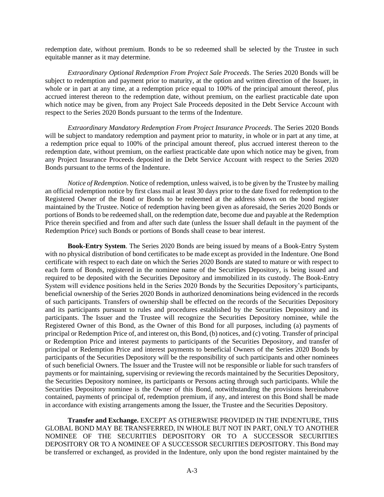redemption date, without premium. Bonds to be so redeemed shall be selected by the Trustee in such equitable manner as it may determine.

*Extraordinary Optional Redemption From Project Sale Proceeds*. The Series 2020 Bonds will be subject to redemption and payment prior to maturity, at the option and written direction of the Issuer, in whole or in part at any time, at a redemption price equal to 100% of the principal amount thereof, plus accrued interest thereon to the redemption date, without premium, on the earliest practicable date upon which notice may be given, from any Project Sale Proceeds deposited in the Debt Service Account with respect to the Series 2020 Bonds pursuant to the terms of the Indenture.

*Extraordinary Mandatory Redemption From Project Insurance Proceeds*. The Series 2020 Bonds will be subject to mandatory redemption and payment prior to maturity, in whole or in part at any time, at a redemption price equal to 100% of the principal amount thereof, plus accrued interest thereon to the redemption date, without premium, on the earliest practicable date upon which notice may be given, from any Project Insurance Proceeds deposited in the Debt Service Account with respect to the Series 2020 Bonds pursuant to the terms of the Indenture.

*Notice of Redemption*. Notice of redemption, unless waived, is to be given by the Trustee by mailing an official redemption notice by first class mail at least 30 days prior to the date fixed for redemption to the Registered Owner of the Bond or Bonds to be redeemed at the address shown on the bond register maintained by the Trustee. Notice of redemption having been given as aforesaid, the Series 2020 Bonds or portions of Bonds to be redeemed shall, on the redemption date, become due and payable at the Redemption Price therein specified and from and after such date (unless the Issuer shall default in the payment of the Redemption Price) such Bonds or portions of Bonds shall cease to bear interest.

**Book-Entry System**. The Series 2020 Bonds are being issued by means of a Book-Entry System with no physical distribution of bond certificates to be made except as provided in the Indenture. One Bond certificate with respect to each date on which the Series 2020 Bonds are stated to mature or with respect to each form of Bonds, registered in the nominee name of the Securities Depository, is being issued and required to be deposited with the Securities Depository and immobilized in its custody. The Book-Entry System will evidence positions held in the Series 2020 Bonds by the Securities Depository's participants, beneficial ownership of the Series 2020 Bonds in authorized denominations being evidenced in the records of such participants. Transfers of ownership shall be effected on the records of the Securities Depository and its participants pursuant to rules and procedures established by the Securities Depository and its participants. The Issuer and the Trustee will recognize the Securities Depository nominee, while the Registered Owner of this Bond, as the Owner of this Bond for all purposes, including (a) payments of principal or Redemption Price of, and interest on, this Bond, (b) notices, and (c) voting. Transfer of principal or Redemption Price and interest payments to participants of the Securities Depository, and transfer of principal or Redemption Price and interest payments to beneficial Owners of the Series 2020 Bonds by participants of the Securities Depository will be the responsibility of such participants and other nominees of such beneficial Owners. The Issuer and the Trustee will not be responsible or liable for such transfers of payments or for maintaining, supervising or reviewing the records maintained by the Securities Depository, the Securities Depository nominee, its participants or Persons acting through such participants. While the Securities Depository nominee is the Owner of this Bond, notwithstanding the provisions hereinabove contained, payments of principal of, redemption premium, if any, and interest on this Bond shall be made in accordance with existing arrangements among the Issuer, the Trustee and the Securities Depository.

**Transfer and Exchange.** EXCEPT AS OTHERWISE PROVIDED IN THE INDENTURE, THIS GLOBAL BOND MAY BE TRANSFERRED, IN WHOLE BUT NOT IN PART, ONLY TO ANOTHER NOMINEE OF THE SECURITIES DEPOSITORY OR TO A SUCCESSOR SECURITIES DEPOSITORY OR TO A NOMINEE OF A SUCCESSOR SECURITIES DEPOSITORY. This Bond may be transferred or exchanged, as provided in the Indenture, only upon the bond register maintained by the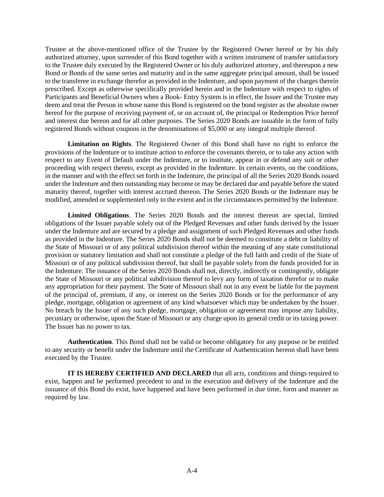Trustee at the above-mentioned office of the Trustee by the Registered Owner hereof or by his duly authorized attorney, upon surrender of this Bond together with a written instrument of transfer satisfactory to the Trustee duly executed by the Registered Owner or his duly authorized attorney, and thereupon a new Bond or Bonds of the same series and maturity and in the same aggregate principal amount, shall be issued to the transferee in exchange therefor as provided in the Indenture, and upon payment of the charges therein prescribed. Except as otherwise specifically provided herein and in the Indenture with respect to rights of Participants and Beneficial Owners when a Book- Entry System is in effect, the Issuer and the Trustee may deem and treat the Person in whose name this Bond is registered on the bond register as the absolute owner hereof for the purpose of receiving payment of, or on account of, the principal or Redemption Price hereof and interest due hereon and for all other purposes. The Series 2020 Bonds are issuable in the form of fully registered Bonds without coupons in the denominations of \$5,000 or any integral multiple thereof.

**Limitation on Rights**. The Registered Owner of this Bond shall have no right to enforce the provisions of the Indenture or to institute action to enforce the covenants therein, or to take any action with respect to any Event of Default under the Indenture, or to institute, appear in or defend any suit or other proceeding with respect thereto, except as provided in the Indenture. In certain events, on the conditions, in the manner and with the effect set forth in the Indenture, the principal of all the Series 2020 Bonds issued under the Indenture and then outstanding may become or may be declared due and payable before the stated maturity thereof, together with interest accrued thereon. The Series 2020 Bonds or the Indenture may be modified, amended or supplemented only to the extent and in the circumstances permitted by the Indenture.

**Limited Obligations**. The Series 2020 Bonds and the interest thereon are special, limited obligations of the Issuer payable solely out of the Pledged Revenues and other funds derived by the Issuer under the Indenture and are secured by a pledge and assignment of such Pledged Revenues and other funds as provided in the Indenture. The Series 2020 Bonds shall not be deemed to constitute a debt or liability of the State of Missouri or of any political subdivision thereof within the meaning of any state constitutional provision or statutory limitation and shall not constitute a pledge of the full faith and credit of the State of Missouri or of any political subdivision thereof, but shall be payable solely from the funds provided for in the Indenture. The issuance of the Series 2020 Bonds shall not, directly, indirectly or contingently, obligate the State of Missouri or any political subdivision thereof to levy any form of taxation therefor or to make any appropriation for their payment. The State of Missouri shall not in any event be liable for the payment of the principal of, premium, if any, or interest on the Series 2020 Bonds or for the performance of any pledge, mortgage, obligation or agreement of any kind whatsoever which may be undertaken by the Issuer. No breach by the Issuer of any such pledge, mortgage, obligation or agreement may impose any liability, pecuniary or otherwise, upon the State of Missouri or any charge upon its general credit or its taxing power. The Issuer has no power to tax.

**Authentication**. This Bond shall not be valid or become obligatory for any purpose or be entitled to any security or benefit under the Indenture until the Certificate of Authentication hereon shall have been executed by the Trustee.

**IT IS HEREBY CERTIFIED AND DECLARED** that all acts, conditions and things required to exist, happen and be performed precedent to and in the execution and delivery of the Indenture and the issuance of this Bond do exist, have happened and have been performed in due time, form and manner as required by law.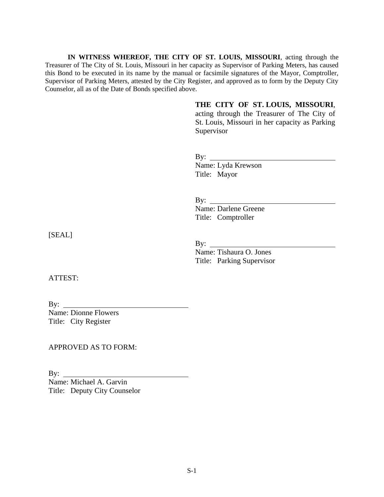**IN WITNESS WHEREOF, THE CITY OF ST. LOUIS, MISSOURI**, acting through the Treasurer of The City of St. Louis, Missouri in her capacity as Supervisor of Parking Meters, has caused this Bond to be executed in its name by the manual or facsimile signatures of the Mayor, Comptroller, Supervisor of Parking Meters, attested by the City Register, and approved as to form by the Deputy City Counselor, all as of the Date of Bonds specified above.

> **THE CITY OF ST. LOUIS, MISSOURI**, acting through the Treasurer of The City of St. Louis, Missouri in her capacity as Parking Supervisor

By: Name: Lyda Krewson Title: Mayor

By: Name: Darlene Greene Title: Comptroller

By:

Name: Tishaura O. Jones Title: Parking Supervisor

[SEAL]

ATTEST:

By: Name: Dionne Flowers Title: City Register

APPROVED AS TO FORM:

By:  $\qquad \qquad$ Name: Michael A. Garvin Title: Deputy City Counselor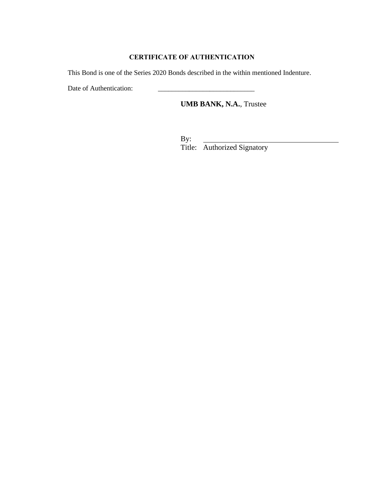### **CERTIFICATE OF AUTHENTICATION**

This Bond is one of the Series 2020 Bonds described in the within mentioned Indenture.

Date of Authentication:

# **UMB BANK, N.A.**, Trustee

By: Title: Authorized Signatory